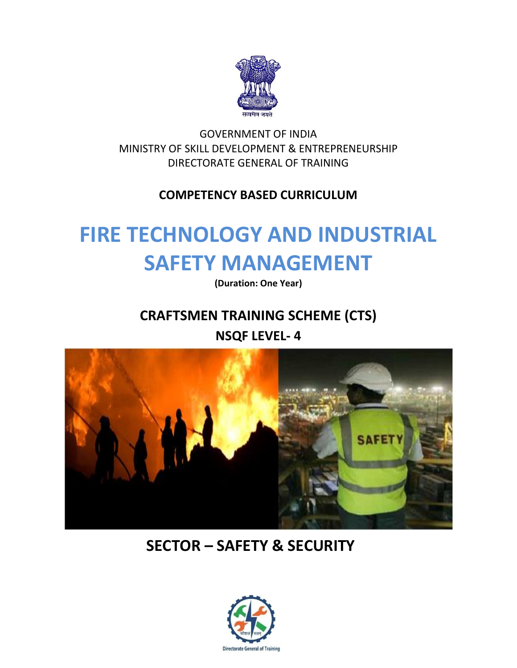

GOVERNMENT OF INDIA MINISTRY OF SKILL DEVELOPMENT & ENTREPRENEURSHIP DIRECTORATE GENERAL OF TRAINING

## **COMPETENCY BASED CURRICULUM**

# **FIRE TECHNOLOGY AND INDUSTRIAL SAFETY MANAGEMENT**

**(Duration: One Year)**

## **CRAFTSMEN TRAINING SCHEME (CTS)**

**NSQF LEVEL- 4**



## **SECTOR – SAFETY & SECURITY**

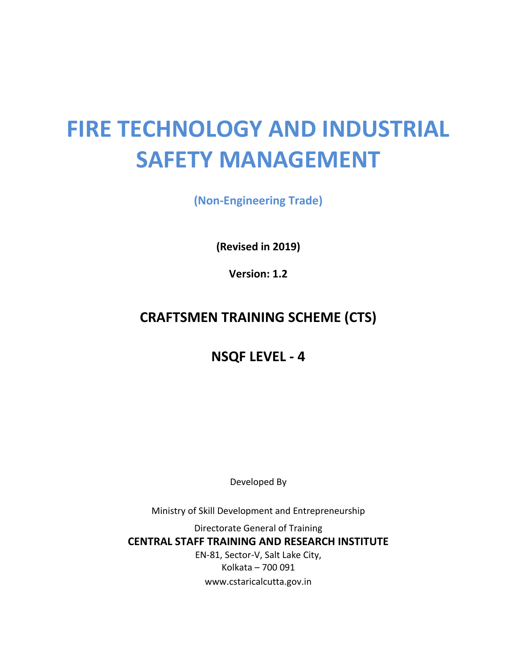# **FIRE TECHNOLOGY AND INDUSTRIAL SAFETY MANAGEMENT**

**(Non-Engineering Trade)**

**(Revised in 2019)**

**Version: 1.2**

## **CRAFTSMEN TRAINING SCHEME (CTS)**

## **NSQF LEVEL - 4**

Developed By

Ministry of Skill Development and Entrepreneurship

Directorate General of Training **CENTRAL STAFF TRAINING AND RESEARCH INSTITUTE** EN-81, Sector-V, Salt Lake City, Kolkata – 700 091 www.cstaricalcutta.gov.in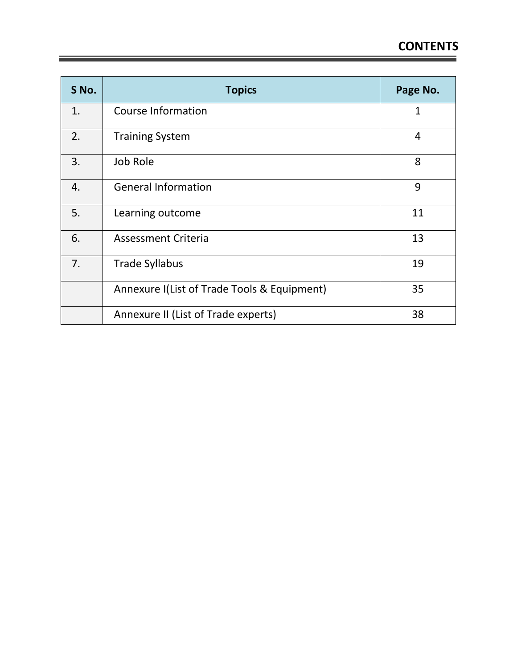۳

| S No. | <b>Topics</b>                               | Page No. |
|-------|---------------------------------------------|----------|
| 1.    | <b>Course Information</b>                   | 1        |
| 2.    | <b>Training System</b>                      | 4        |
| 3.    | Job Role                                    | 8        |
| 4.    | <b>General Information</b>                  | 9        |
| 5.    | Learning outcome                            | 11       |
| 6.    | <b>Assessment Criteria</b>                  | 13       |
| 7.    | <b>Trade Syllabus</b>                       | 19       |
|       | Annexure I(List of Trade Tools & Equipment) | 35       |
|       | Annexure II (List of Trade experts)         | 38       |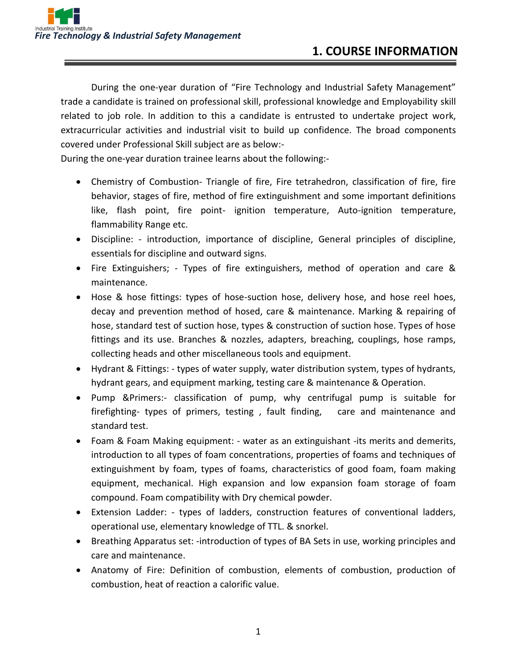During the one-year duration of "Fire Technology and Industrial Safety Management" trade a candidate is trained on professional skill, professional knowledge and Employability skill related to job role. In addition to this a candidate is entrusted to undertake project work, extracurricular activities and industrial visit to build up confidence. The broad components covered under Professional Skill subject are as below:-

During the one-year duration trainee learns about the following:-

- Chemistry of Combustion- Triangle of fire, Fire tetrahedron, classification of fire, fire behavior, stages of fire, method of fire extinguishment and some important definitions like, flash point, fire point- ignition temperature, Auto-ignition temperature, flammability Range etc.
- Discipline: introduction, importance of discipline, General principles of discipline, essentials for discipline and outward signs.
- Fire Extinguishers; Types of fire extinguishers, method of operation and care & maintenance.
- Hose & hose fittings: types of hose-suction hose, delivery hose, and hose reel hoes, decay and prevention method of hosed, care & maintenance. Marking & repairing of hose, standard test of suction hose, types & construction of suction hose. Types of hose fittings and its use. Branches & nozzles, adapters, breaching, couplings, hose ramps, collecting heads and other miscellaneous tools and equipment.
- Hydrant & Fittings: types of water supply, water distribution system, types of hydrants, hydrant gears, and equipment marking, testing care & maintenance & Operation.
- Pump &Primers:- classification of pump, why centrifugal pump is suitable for firefighting- types of primers, testing , fault finding, care and maintenance and standard test.
- Foam & Foam Making equipment: water as an extinguishant -its merits and demerits, introduction to all types of foam concentrations, properties of foams and techniques of extinguishment by foam, types of foams, characteristics of good foam, foam making equipment, mechanical. High expansion and low expansion foam storage of foam compound. Foam compatibility with Dry chemical powder.
- Extension Ladder: types of ladders, construction features of conventional ladders, operational use, elementary knowledge of TTL. & snorkel.
- Breathing Apparatus set: -introduction of types of BA Sets in use, working principles and care and maintenance.
- Anatomy of Fire: Definition of combustion, elements of combustion, production of combustion, heat of reaction a calorific value.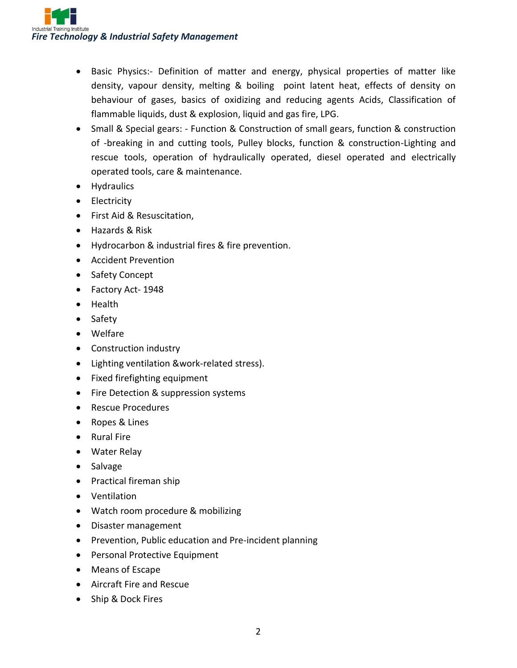

- Basic Physics:- Definition of matter and energy, physical properties of matter like density, vapour density, melting & boiling point latent heat, effects of density on behaviour of gases, basics of oxidizing and reducing agents Acids, Classification of flammable liquids, dust & explosion, liquid and gas fire, LPG.
- Small & Special gears: Function & Construction of small gears, function & construction of -breaking in and cutting tools, Pulley blocks, function & construction-Lighting and rescue tools, operation of hydraulically operated, diesel operated and electrically operated tools, care & maintenance.
- Hydraulics
- Electricity
- First Aid & Resuscitation,
- Hazards & Risk
- Hydrocarbon & industrial fires & fire prevention.
- Accident Prevention
- Safety Concept
- Factory Act- 1948
- Health
- Safety
- Welfare
- Construction industry
- Lighting ventilation &work-related stress).
- Fixed firefighting equipment
- Fire Detection & suppression systems
- Rescue Procedures
- Ropes & Lines
- Rural Fire
- Water Relay
- Salvage
- Practical fireman ship
- Ventilation
- Watch room procedure & mobilizing
- Disaster management
- Prevention, Public education and Pre-incident planning
- Personal Protective Equipment
- Means of Escape
- Aircraft Fire and Rescue
- Ship & Dock Fires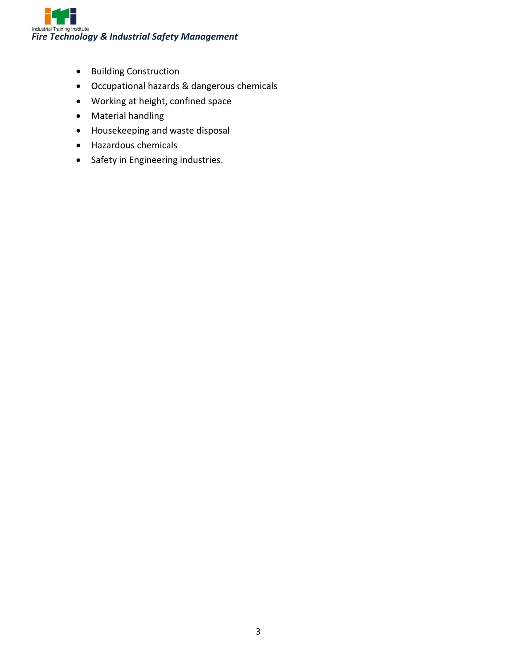

- Building Construction
- Occupational hazards & dangerous chemicals
- Working at height, confined space
- Material handling
- Housekeeping and waste disposal
- Hazardous chemicals
- Safety in Engineering industries.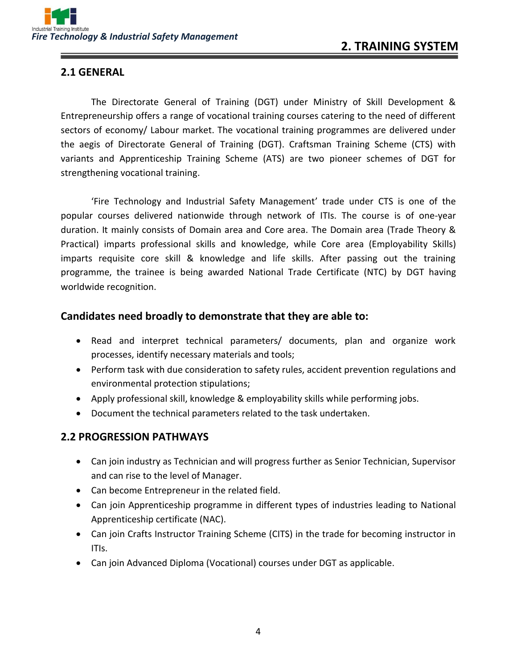#### **2.1 GENERAL**

The Directorate General of Training (DGT) under Ministry of Skill Development & Entrepreneurship offers a range of vocational training courses catering to the need of different sectors of economy/ Labour market. The vocational training programmes are delivered under the aegis of Directorate General of Training (DGT). Craftsman Training Scheme (CTS) with variants and Apprenticeship Training Scheme (ATS) are two pioneer schemes of DGT for strengthening vocational training.

'Fire Technology and Industrial Safety Management' trade under CTS is one of the popular courses delivered nationwide through network of ITIs. The course is of one-year duration. It mainly consists of Domain area and Core area. The Domain area (Trade Theory & Practical) imparts professional skills and knowledge, while Core area (Employability Skills) imparts requisite core skill & knowledge and life skills. After passing out the training programme, the trainee is being awarded National Trade Certificate (NTC) by DGT having worldwide recognition.

#### **Candidates need broadly to demonstrate that they are able to:**

- Read and interpret technical parameters/ documents, plan and organize work processes, identify necessary materials and tools;
- Perform task with due consideration to safety rules, accident prevention regulations and environmental protection stipulations;
- Apply professional skill, knowledge & employability skills while performing jobs.
- Document the technical parameters related to the task undertaken.

#### **2.2 PROGRESSION PATHWAYS**

- Can join industry as Technician and will progress further as Senior Technician, Supervisor and can rise to the level of Manager.
- Can become Entrepreneur in the related field.
- Can join Apprenticeship programme in different types of industries leading to National Apprenticeship certificate (NAC).
- Can join Crafts Instructor Training Scheme (CITS) in the trade for becoming instructor in ITIs.
- Can join Advanced Diploma (Vocational) courses under DGT as applicable.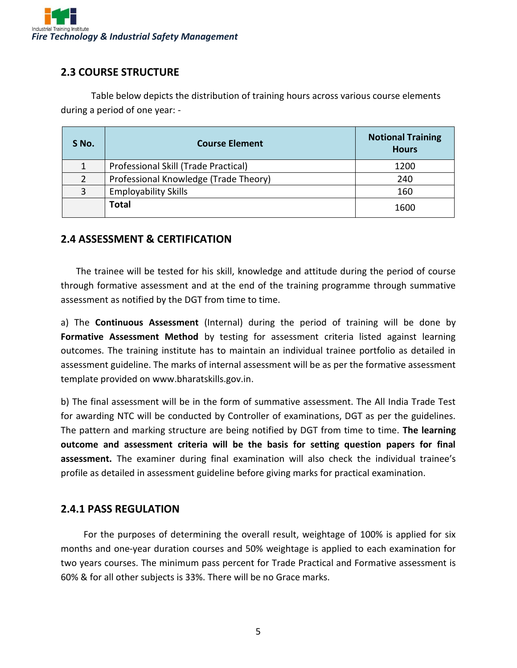

#### **2.3 COURSE STRUCTURE**

Table below depicts the distribution of training hours across various course elements during a period of one year: -

| S No. | <b>Course Element</b>                 | <b>Notional Training</b><br><b>Hours</b> |
|-------|---------------------------------------|------------------------------------------|
| 1     | Professional Skill (Trade Practical)  | 1200                                     |
| 2     | Professional Knowledge (Trade Theory) | 240                                      |
| 3     | <b>Employability Skills</b>           | 160                                      |
|       | <b>Total</b>                          | 1600                                     |

#### **2.4 ASSESSMENT & CERTIFICATION**

The trainee will be tested for his skill, knowledge and attitude during the period of course through formative assessment and at the end of the training programme through summative assessment as notified by the DGT from time to time.

a) The **Continuous Assessment** (Internal) during the period of training will be done by **Formative Assessment Method** by testing for assessment criteria listed against learning outcomes. The training institute has to maintain an individual trainee portfolio as detailed in assessment guideline. The marks of internal assessment will be as per the formative assessment template provided on www.bharatskills.gov.in.

b) The final assessment will be in the form of summative assessment. The All India Trade Test for awarding NTC will be conducted by Controller of examinations, DGT as per the guidelines. The pattern and marking structure are being notified by DGT from time to time. **The learning outcome and assessment criteria will be the basis for setting question papers for final assessment.** The examiner during final examination will also check the individual trainee's profile as detailed in assessment guideline before giving marks for practical examination.

#### **2.4.1 PASS REGULATION**

For the purposes of determining the overall result, weightage of 100% is applied for six months and one-year duration courses and 50% weightage is applied to each examination for two years courses. The minimum pass percent for Trade Practical and Formative assessment is 60% & for all other subjects is 33%. There will be no Grace marks.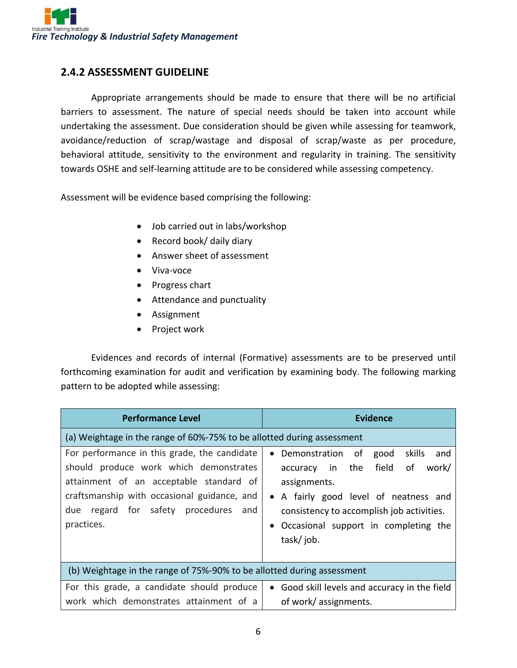

#### **2.4.2 ASSESSMENT GUIDELINE**

Appropriate arrangements should be made to ensure that there will be no artificial barriers to assessment. The nature of special needs should be taken into account while undertaking the assessment. Due consideration should be given while assessing for teamwork, avoidance/reduction of scrap/wastage and disposal of scrap/waste as per procedure, behavioral attitude, sensitivity to the environment and regularity in training. The sensitivity towards OSHE and self-learning attitude are to be considered while assessing competency.

Assessment will be evidence based comprising the following:

- Job carried out in labs/workshop
- Record book/ daily diary
- Answer sheet of assessment
- Viva-voce
- Progress chart
- Attendance and punctuality
- Assignment
- Project work

Evidences and records of internal (Formative) assessments are to be preserved until forthcoming examination for audit and verification by examining body. The following marking pattern to be adopted while assessing:

| <b>Performance Level</b>                                                                                                                                                                                                                     | <b>Evidence</b>                                                                                                                                                                                                                                 |
|----------------------------------------------------------------------------------------------------------------------------------------------------------------------------------------------------------------------------------------------|-------------------------------------------------------------------------------------------------------------------------------------------------------------------------------------------------------------------------------------------------|
| (a) Weightage in the range of 60%-75% to be allotted during assessment                                                                                                                                                                       |                                                                                                                                                                                                                                                 |
| For performance in this grade, the candidate<br>should produce work which demonstrates<br>attainment of an acceptable standard of<br>craftsmanship with occasional guidance, and<br>regard for safety procedures<br>due<br>and<br>practices. | skills<br>Demonstration<br>of<br>good<br>and<br>accuracy in the field<br>work/<br>οf<br>assignments.<br>• A fairly good level of neatness and<br>consistency to accomplish job activities.<br>Occasional support in completing the<br>task/job. |
| (b) Weightage in the range of 75%-90% to be allotted during assessment                                                                                                                                                                       |                                                                                                                                                                                                                                                 |
| For this grade, a candidate should produce<br>work which demonstrates attainment of a                                                                                                                                                        | • Good skill levels and accuracy in the field<br>of work/ assignments.                                                                                                                                                                          |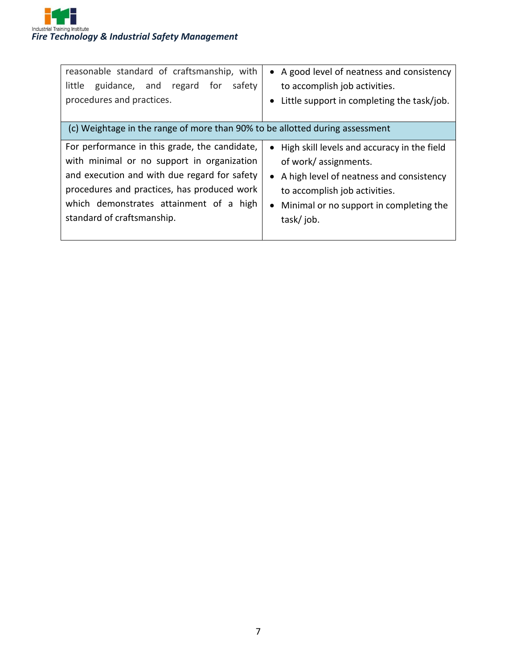| reasonable standard of craftsmanship, with<br>safety<br>little<br>guidance, and regard<br>for<br>procedures and practices.                                                                                                                                          | • A good level of neatness and consistency<br>to accomplish job activities.<br>Little support in completing the task/job.<br>$\bullet$                                                                          |
|---------------------------------------------------------------------------------------------------------------------------------------------------------------------------------------------------------------------------------------------------------------------|-----------------------------------------------------------------------------------------------------------------------------------------------------------------------------------------------------------------|
| (c) Weightage in the range of more than 90% to be allotted during assessment                                                                                                                                                                                        |                                                                                                                                                                                                                 |
| For performance in this grade, the candidate,<br>with minimal or no support in organization<br>and execution and with due regard for safety<br>procedures and practices, has produced work<br>which demonstrates attainment of a high<br>standard of craftsmanship. | • High skill levels and accuracy in the field<br>of work/ assignments.<br>• A high level of neatness and consistency<br>to accomplish job activities.<br>• Minimal or no support in completing the<br>task/job. |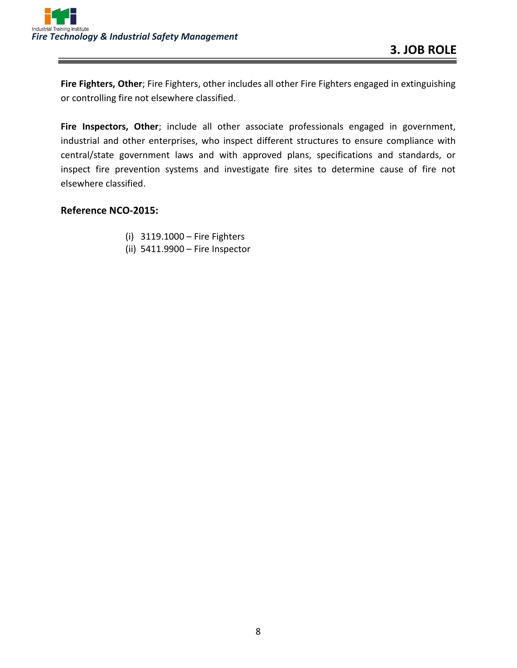

**Fire Fighters, Other**; Fire Fighters, other includes all other Fire Fighters engaged in extinguishing or controlling fire not elsewhere classified.

**Fire Inspectors, Other**; include all other associate professionals engaged in government, industrial and other enterprises, who inspect different structures to ensure compliance with central/state government laws and with approved plans, specifications and standards, or inspect fire prevention systems and investigate fire sites to determine cause of fire not elsewhere classified.

#### **Reference NCO-2015:**

- (i) 3119.1000 Fire Fighters
- (ii) 5411.9900 Fire Inspector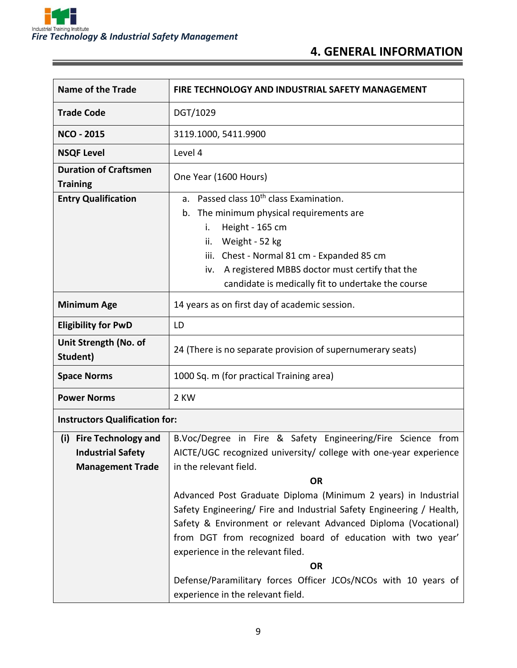

### **4. GENERAL INFORMATION**

| <b>Name of the Trade</b>                                                                 | FIRE TECHNOLOGY AND INDUSTRIAL SAFETY MANAGEMENT                                                                                                                                                                                                                                                                                                                                                                                                                                                    |
|------------------------------------------------------------------------------------------|-----------------------------------------------------------------------------------------------------------------------------------------------------------------------------------------------------------------------------------------------------------------------------------------------------------------------------------------------------------------------------------------------------------------------------------------------------------------------------------------------------|
| <b>Trade Code</b>                                                                        | DGT/1029                                                                                                                                                                                                                                                                                                                                                                                                                                                                                            |
| <b>NCO - 2015</b>                                                                        | 3119.1000, 5411.9900                                                                                                                                                                                                                                                                                                                                                                                                                                                                                |
| <b>NSQF Level</b>                                                                        | Level 4                                                                                                                                                                                                                                                                                                                                                                                                                                                                                             |
| <b>Duration of Craftsmen</b><br><b>Training</b>                                          | One Year (1600 Hours)                                                                                                                                                                                                                                                                                                                                                                                                                                                                               |
| <b>Entry Qualification</b>                                                               | Passed class 10 <sup>th</sup> class Examination.<br>a.<br>The minimum physical requirements are<br>b.<br>Height - 165 cm<br>i.<br>Weight - 52 kg<br>ii.<br>Chest - Normal 81 cm - Expanded 85 cm<br>iii.<br>A registered MBBS doctor must certify that the<br>iv.<br>candidate is medically fit to undertake the course                                                                                                                                                                             |
| <b>Minimum Age</b>                                                                       | 14 years as on first day of academic session.                                                                                                                                                                                                                                                                                                                                                                                                                                                       |
| <b>Eligibility for PwD</b>                                                               | LD                                                                                                                                                                                                                                                                                                                                                                                                                                                                                                  |
| Unit Strength (No. of<br>Student)                                                        | 24 (There is no separate provision of supernumerary seats)                                                                                                                                                                                                                                                                                                                                                                                                                                          |
| <b>Space Norms</b>                                                                       | 1000 Sq. m (for practical Training area)                                                                                                                                                                                                                                                                                                                                                                                                                                                            |
| <b>Power Norms</b>                                                                       | 2 KW                                                                                                                                                                                                                                                                                                                                                                                                                                                                                                |
| <b>Instructors Qualification for:</b>                                                    |                                                                                                                                                                                                                                                                                                                                                                                                                                                                                                     |
| <b>Fire Technology and</b><br>(i)<br><b>Industrial Safety</b><br><b>Management Trade</b> | B.Voc/Degree in Fire & Safety Engineering/Fire Science from<br>AICTE/UGC recognized university/ college with one-year experience<br>in the relevant field.<br><b>OR</b><br>Advanced Post Graduate Diploma (Minimum 2 years) in Industrial<br>Safety Engineering/ Fire and Industrial Safety Engineering / Health,<br>Safety & Environment or relevant Advanced Diploma (Vocational)<br>from DGT from recognized board of education with two year'<br>experience in the relevant filed.<br><b>OR</b> |

Defense/Paramilitary forces Officer JCOs/NCOs with 10 years of experience in the relevant field.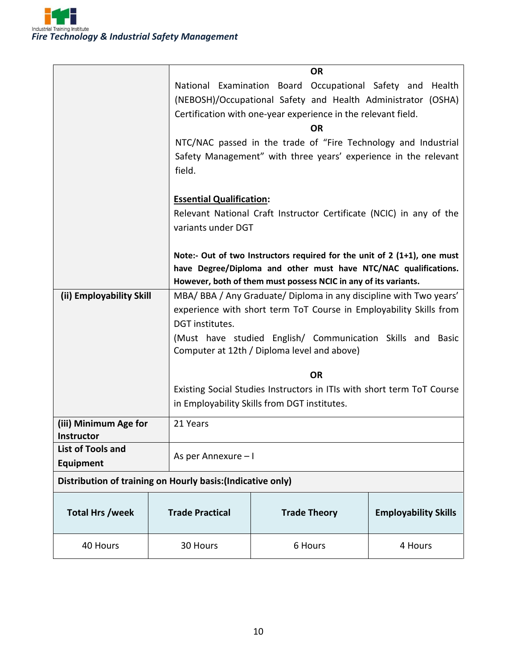|                                                             |                                 | <b>OR</b>                                                                  |                             |  |
|-------------------------------------------------------------|---------------------------------|----------------------------------------------------------------------------|-----------------------------|--|
|                                                             |                                 | National Examination Board Occupational Safety and                         | Health                      |  |
|                                                             |                                 | (NEBOSH)/Occupational Safety and Health Administrator (OSHA)               |                             |  |
|                                                             |                                 | Certification with one-year experience in the relevant field.              |                             |  |
|                                                             |                                 | <b>OR</b>                                                                  |                             |  |
|                                                             |                                 | NTC/NAC passed in the trade of "Fire Technology and Industrial             |                             |  |
|                                                             |                                 | Safety Management" with three years' experience in the relevant            |                             |  |
|                                                             | field.                          |                                                                            |                             |  |
|                                                             |                                 |                                                                            |                             |  |
|                                                             | <b>Essential Qualification:</b> |                                                                            |                             |  |
|                                                             |                                 | Relevant National Craft Instructor Certificate (NCIC) in any of the        |                             |  |
|                                                             | variants under DGT              |                                                                            |                             |  |
|                                                             |                                 |                                                                            |                             |  |
|                                                             |                                 | Note:- Out of two Instructors required for the unit of $2$ (1+1), one must |                             |  |
|                                                             |                                 | have Degree/Diploma and other must have NTC/NAC qualifications.            |                             |  |
|                                                             |                                 | However, both of them must possess NCIC in any of its variants.            |                             |  |
| (ii) Employability Skill                                    |                                 | MBA/BBA/Any Graduate/Diploma in any discipline with Two years'             |                             |  |
|                                                             |                                 | experience with short term ToT Course in Employability Skills from         |                             |  |
|                                                             | DGT institutes.                 |                                                                            |                             |  |
|                                                             |                                 | (Must have studied English/ Communication Skills and Basic                 |                             |  |
|                                                             |                                 | Computer at 12th / Diploma level and above)                                |                             |  |
|                                                             |                                 |                                                                            |                             |  |
|                                                             |                                 | <b>OR</b>                                                                  |                             |  |
|                                                             |                                 | Existing Social Studies Instructors in ITIs with short term ToT Course     |                             |  |
|                                                             |                                 | in Employability Skills from DGT institutes.                               |                             |  |
| (iii) Minimum Age for                                       | 21 Years                        |                                                                            |                             |  |
| <b>Instructor</b>                                           |                                 |                                                                            |                             |  |
| <b>List of Tools and</b>                                    | As per Annexure - I             |                                                                            |                             |  |
| <b>Equipment</b>                                            |                                 |                                                                            |                             |  |
| Distribution of training on Hourly basis: (Indicative only) |                                 |                                                                            |                             |  |
|                                                             |                                 |                                                                            |                             |  |
| <b>Total Hrs /week</b>                                      | <b>Trade Practical</b>          | <b>Trade Theory</b>                                                        | <b>Employability Skills</b> |  |
| 40 Hours                                                    | 30 Hours                        | 6 Hours                                                                    | 4 Hours                     |  |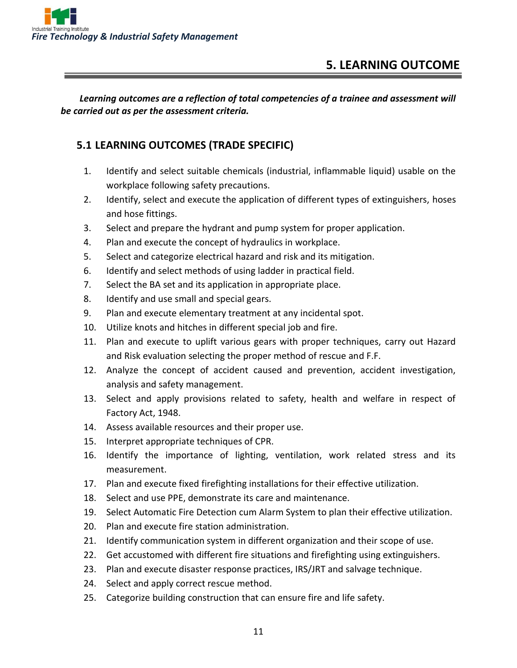

## **5. LEARNING OUTCOME**

*Learning outcomes are a reflection of total competencies of a trainee and assessment will be carried out as per the assessment criteria.*

#### **5.1 LEARNING OUTCOMES (TRADE SPECIFIC)**

- 1. Identify and select suitable chemicals (industrial, inflammable liquid) usable on the workplace following safety precautions.
- 2. Identify, select and execute the application of different types of extinguishers, hoses and hose fittings.
- 3. Select and prepare the hydrant and pump system for proper application.
- 4. Plan and execute the concept of hydraulics in workplace.
- 5. Select and categorize electrical hazard and risk and its mitigation.
- 6. Identify and select methods of using ladder in practical field.
- 7. Select the BA set and its application in appropriate place.
- 8. Identify and use small and special gears.
- 9. Plan and execute elementary treatment at any incidental spot.
- 10. Utilize knots and hitches in different special job and fire.
- 11. Plan and execute to uplift various gears with proper techniques, carry out Hazard and Risk evaluation selecting the proper method of rescue and F.F.
- 12. Analyze the concept of accident caused and prevention, accident investigation, analysis and safety management.
- 13. Select and apply provisions related to safety, health and welfare in respect of Factory Act, 1948.
- 14. Assess available resources and their proper use.
- 15. Interpret appropriate techniques of CPR.
- 16. Identify the importance of lighting, ventilation, work related stress and its measurement.
- 17. Plan and execute fixed firefighting installations for their effective utilization.
- 18. Select and use PPE, demonstrate its care and maintenance.
- 19. Select Automatic Fire Detection cum Alarm System to plan their effective utilization.
- 20. Plan and execute fire station administration.
- 21. Identify communication system in different organization and their scope of use.
- 22. Get accustomed with different fire situations and firefighting using extinguishers.
- 23. Plan and execute disaster response practices, IRS/JRT and salvage technique.
- 24. Select and apply correct rescue method.
- 25. Categorize building construction that can ensure fire and life safety.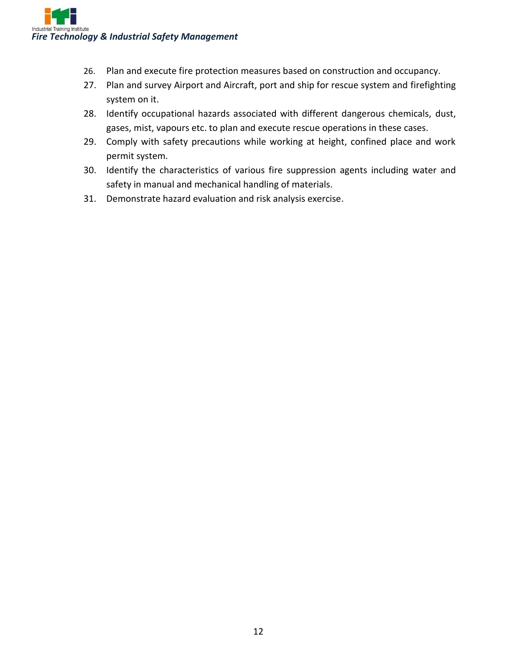

- 26. Plan and execute fire protection measures based on construction and occupancy.
- 27. Plan and survey Airport and Aircraft, port and ship for rescue system and firefighting system on it.
- 28. Identify occupational hazards associated with different dangerous chemicals, dust, gases, mist, vapours etc. to plan and execute rescue operations in these cases.
- 29. Comply with safety precautions while working at height, confined place and work permit system.
- 30. Identify the characteristics of various fire suppression agents including water and safety in manual and mechanical handling of materials.
- 31. Demonstrate hazard evaluation and risk analysis exercise.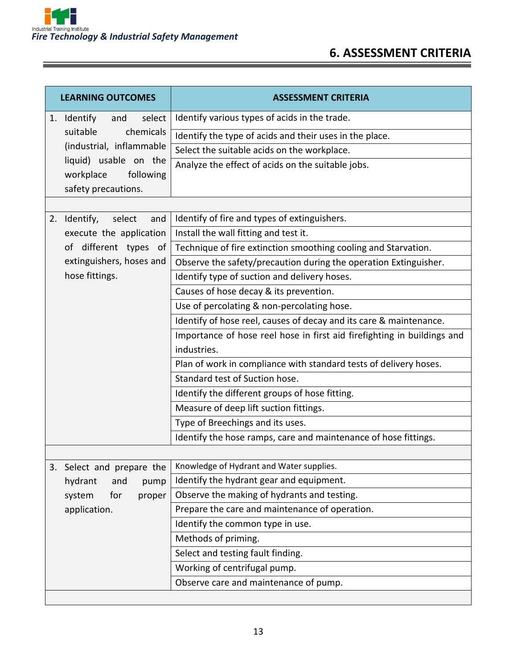

## **6. ASSESSMENT CRITERIA**

|    | <b>LEARNING OUTCOMES</b>      | <b>ASSESSMENT CRITERIA</b>                                              |
|----|-------------------------------|-------------------------------------------------------------------------|
|    | 1. Identify<br>select<br>and  | Identify various types of acids in the trade.                           |
|    | chemicals<br>suitable         | Identify the type of acids and their uses in the place.                 |
|    | (industrial, inflammable      | Select the suitable acids on the workplace.                             |
|    | liquid) usable on the         | Analyze the effect of acids on the suitable jobs.                       |
|    | workplace<br>following        |                                                                         |
|    | safety precautions.           |                                                                         |
|    |                               |                                                                         |
|    | 2. Identify,<br>select<br>and | Identify of fire and types of extinguishers.                            |
|    | execute the application       | Install the wall fitting and test it.                                   |
|    | of different types of         | Technique of fire extinction smoothing cooling and Starvation.          |
|    | extinguishers, hoses and      | Observe the safety/precaution during the operation Extinguisher.        |
|    | hose fittings.                | Identify type of suction and delivery hoses.                            |
|    |                               | Causes of hose decay & its prevention.                                  |
|    |                               | Use of percolating & non-percolating hose.                              |
|    |                               | Identify of hose reel, causes of decay and its care & maintenance.      |
|    |                               | Importance of hose reel hose in first aid firefighting in buildings and |
|    |                               | industries.                                                             |
|    |                               | Plan of work in compliance with standard tests of delivery hoses.       |
|    |                               | Standard test of Suction hose.                                          |
|    |                               | Identify the different groups of hose fitting.                          |
|    |                               | Measure of deep lift suction fittings.                                  |
|    |                               | Type of Breechings and its uses.                                        |
|    |                               | Identify the hose ramps, care and maintenance of hose fittings.         |
|    |                               |                                                                         |
| 3. | Select and prepare the        | Knowledge of Hydrant and Water supplies.                                |
|    | hydrant<br>and<br>pump        | Identify the hydrant gear and equipment.                                |
|    | for<br>proper<br>system       | Observe the making of hydrants and testing.                             |
|    | application.                  | Prepare the care and maintenance of operation.                          |
|    |                               | Identify the common type in use.                                        |
|    |                               | Methods of priming.                                                     |
|    |                               | Select and testing fault finding.                                       |
|    |                               | Working of centrifugal pump.                                            |
|    |                               | Observe care and maintenance of pump.                                   |
|    |                               |                                                                         |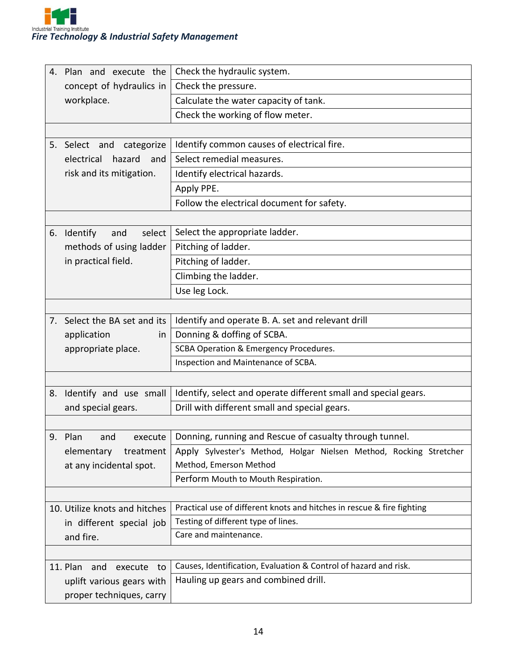|    | 4. Plan and execute the          | Check the hydraulic system.                                            |
|----|----------------------------------|------------------------------------------------------------------------|
|    | concept of hydraulics in         | Check the pressure.                                                    |
|    | workplace.                       | Calculate the water capacity of tank.                                  |
|    |                                  | Check the working of flow meter.                                       |
|    |                                  |                                                                        |
|    | 5. Select and<br>categorize      | Identify common causes of electrical fire.                             |
|    | electrical<br>hazard<br>and      | Select remedial measures.                                              |
|    | risk and its mitigation.         | Identify electrical hazards.                                           |
|    |                                  | Apply PPE.                                                             |
|    |                                  | Follow the electrical document for safety.                             |
|    |                                  |                                                                        |
|    | 6. Identify<br>select<br>and     | Select the appropriate ladder.                                         |
|    | methods of using ladder          | Pitching of ladder.                                                    |
|    | in practical field.              | Pitching of ladder.                                                    |
|    |                                  | Climbing the ladder.                                                   |
|    |                                  | Use leg Lock.                                                          |
|    |                                  |                                                                        |
|    | 7. Select the BA set and its     | Identify and operate B. A. set and relevant drill                      |
|    | application<br>in                | Donning & doffing of SCBA.                                             |
|    | appropriate place.               | SCBA Operation & Emergency Procedures.                                 |
|    |                                  | Inspection and Maintenance of SCBA.                                    |
|    |                                  |                                                                        |
| 8. | Identify and use small           | Identify, select and operate different small and special gears.        |
|    | and special gears.               | Drill with different small and special gears.                          |
|    |                                  |                                                                        |
|    | 9. Plan<br>execute<br>and        | Donning, running and Rescue of casualty through tunnel.                |
|    | elementary<br>treatment          | Apply Sylvester's Method, Holgar Nielsen Method, Rocking Stretcher     |
|    | at any incidental spot.          | Method, Emerson Method                                                 |
|    |                                  | Perform Mouth to Mouth Respiration.                                    |
|    |                                  |                                                                        |
|    | 10. Utilize knots and hitches    | Practical use of different knots and hitches in rescue & fire fighting |
|    | in different special job         | Testing of different type of lines.                                    |
|    | and fire.                        | Care and maintenance.                                                  |
|    |                                  |                                                                        |
|    | 11. Plan<br>and<br>execute<br>to | Causes, Identification, Evaluation & Control of hazard and risk.       |
|    | uplift various gears with        | Hauling up gears and combined drill.                                   |
|    | proper techniques, carry         |                                                                        |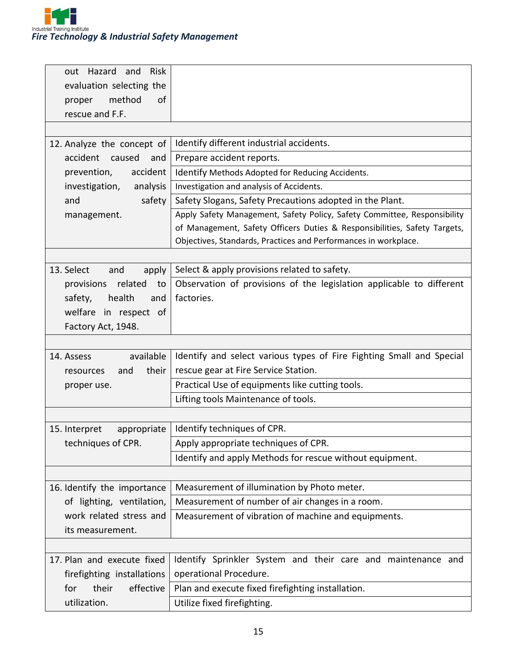

| Risk<br>out Hazard and<br>evaluation selecting the<br>method<br>of<br>proper |                                                                           |
|------------------------------------------------------------------------------|---------------------------------------------------------------------------|
| rescue and F.F.                                                              |                                                                           |
|                                                                              | Identify different industrial accidents.                                  |
| 12. Analyze the concept of<br>accident<br>caused<br>and                      | Prepare accident reports.                                                 |
| accident<br>prevention,                                                      | Identify Methods Adopted for Reducing Accidents.                          |
| investigation,<br>analysis                                                   | Investigation and analysis of Accidents.                                  |
| and<br>safety                                                                | Safety Slogans, Safety Precautions adopted in the Plant.                  |
| management.                                                                  | Apply Safety Management, Safety Policy, Safety Committee, Responsibility  |
|                                                                              | of Management, Safety Officers Duties & Responsibilities, Safety Targets, |
|                                                                              | Objectives, Standards, Practices and Performances in workplace.           |
|                                                                              |                                                                           |
| 13. Select<br>apply<br>and                                                   | Select & apply provisions related to safety.                              |
| related<br>to<br>provisions                                                  | Observation of provisions of the legislation applicable to different      |
| health<br>safety,<br>and                                                     | factories.                                                                |
| welfare in respect of                                                        |                                                                           |
| Factory Act, 1948.                                                           |                                                                           |
|                                                                              |                                                                           |
| available<br>14. Assess                                                      | Identify and select various types of Fire Fighting Small and Special      |
| their<br>and<br>resources                                                    | rescue gear at Fire Service Station.                                      |
| proper use.                                                                  | Practical Use of equipments like cutting tools.                           |
|                                                                              | Lifting tools Maintenance of tools.                                       |
|                                                                              |                                                                           |
| 15. Interpret<br>appropriate                                                 | Identify techniques of CPR.                                               |
| techniques of CPR.                                                           | Apply appropriate techniques of CPR.                                      |
|                                                                              | Identify and apply Methods for rescue without equipment.                  |
| 16. Identify the importance                                                  | Measurement of illumination by Photo meter.                               |
| of lighting, ventilation,                                                    | Measurement of number of air changes in a room.                           |
| work related stress and                                                      | Measurement of vibration of machine and equipments.                       |
| its measurement.                                                             |                                                                           |
|                                                                              |                                                                           |
| 17. Plan and execute fixed                                                   | Identify Sprinkler System and their care and maintenance and              |
| firefighting installations                                                   | operational Procedure.                                                    |
| effective<br>for<br>their                                                    | Plan and execute fixed firefighting installation.                         |
| utilization.                                                                 | Utilize fixed firefighting.                                               |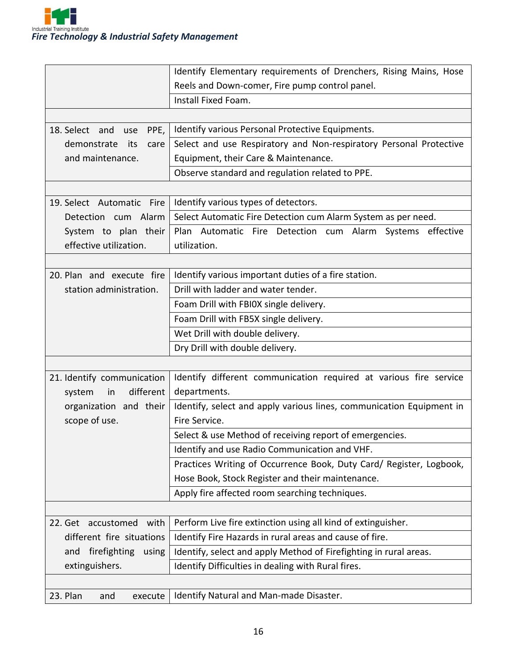

|                               | Identify Elementary requirements of Drenchers, Rising Mains, Hose    |
|-------------------------------|----------------------------------------------------------------------|
|                               | Reels and Down-comer, Fire pump control panel.                       |
|                               | Install Fixed Foam.                                                  |
|                               |                                                                      |
| 18. Select and<br>PPE,<br>use | Identify various Personal Protective Equipments.                     |
| demonstrate<br>its<br>care    | Select and use Respiratory and Non-respiratory Personal Protective   |
| and maintenance.              | Equipment, their Care & Maintenance.                                 |
|                               | Observe standard and regulation related to PPE.                      |
|                               |                                                                      |
| 19. Select Automatic Fire     | Identify various types of detectors.                                 |
| Detection cum Alarm           | Select Automatic Fire Detection cum Alarm System as per need.        |
| System to plan their          | Plan Automatic Fire Detection cum Alarm Systems effective            |
| effective utilization.        | utilization.                                                         |
|                               |                                                                      |
| 20. Plan and execute fire     | Identify various important duties of a fire station.                 |
| station administration.       | Drill with ladder and water tender.                                  |
|                               | Foam Drill with FBIOX single delivery.                               |
|                               | Foam Drill with FB5X single delivery.                                |
|                               | Wet Drill with double delivery.                                      |
|                               | Dry Drill with double delivery.                                      |
|                               |                                                                      |
| 21. Identify communication    | Identify different communication required at various fire service    |
| different<br>system<br>in     | departments.                                                         |
| organization and their        | Identify, select and apply various lines, communication Equipment in |
| scope of use.                 | Fire Service.                                                        |
|                               | Select & use Method of receiving report of emergencies.              |
|                               | Identify and use Radio Communication and VHF.                        |
|                               | Practices Writing of Occurrence Book, Duty Card/ Register, Logbook,  |
|                               | Hose Book, Stock Register and their maintenance.                     |
|                               | Apply fire affected room searching techniques.                       |
|                               |                                                                      |
| 22. Get accustomed with       | Perform Live fire extinction using all kind of extinguisher.         |
| different fire situations     | Identify Fire Hazards in rural areas and cause of fire.              |
| and firefighting<br>using     | Identify, select and apply Method of Firefighting in rural areas.    |
| extinguishers.                | Identify Difficulties in dealing with Rural fires.                   |
|                               |                                                                      |
| 23. Plan<br>and<br>execute    | Identify Natural and Man-made Disaster.                              |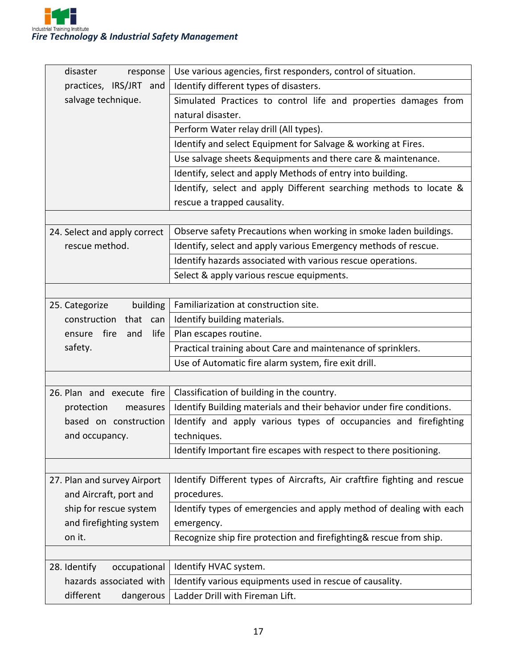

| disaster<br>response          | Use various agencies, first responders, control of situation.            |
|-------------------------------|--------------------------------------------------------------------------|
| practices, IRS/JRT and        | Identify different types of disasters.                                   |
| salvage technique.            | Simulated Practices to control life and properties damages from          |
|                               | natural disaster.                                                        |
|                               | Perform Water relay drill (All types).                                   |
|                               | Identify and select Equipment for Salvage & working at Fires.            |
|                               | Use salvage sheets & equipments and there care & maintenance.            |
|                               | Identify, select and apply Methods of entry into building.               |
|                               | Identify, select and apply Different searching methods to locate &       |
|                               | rescue a trapped causality.                                              |
|                               |                                                                          |
| 24. Select and apply correct  | Observe safety Precautions when working in smoke laden buildings.        |
| rescue method.                | Identify, select and apply various Emergency methods of rescue.          |
|                               | Identify hazards associated with various rescue operations.              |
|                               | Select & apply various rescue equipments.                                |
|                               |                                                                          |
| 25. Categorize<br>building    | Familiarization at construction site.                                    |
| construction<br>that<br>can   | Identify building materials.                                             |
| life<br>fire<br>ensure<br>and | Plan escapes routine.                                                    |
| safety.                       | Practical training about Care and maintenance of sprinklers.             |
|                               | Use of Automatic fire alarm system, fire exit drill.                     |
|                               |                                                                          |
| 26. Plan and execute fire     | Classification of building in the country.                               |
| protection<br>measures        | Identify Building materials and their behavior under fire conditions.    |
| based on construction         | Identify and apply various types of occupancies and firefighting         |
| and occupancy.                | techniques.                                                              |
|                               | Identify Important fire escapes with respect to there positioning.       |
|                               |                                                                          |
| 27. Plan and survey Airport   | Identify Different types of Aircrafts, Air craftfire fighting and rescue |
| and Aircraft, port and        | procedures.                                                              |
| ship for rescue system        | Identify types of emergencies and apply method of dealing with each      |
| and firefighting system       | emergency.                                                               |
| on it.                        | Recognize ship fire protection and firefighting& rescue from ship.       |
|                               |                                                                          |
| 28. Identify<br>occupational  | Identify HVAC system.                                                    |
| hazards associated with       | Identify various equipments used in rescue of causality.                 |
| different<br>dangerous        | Ladder Drill with Fireman Lift.                                          |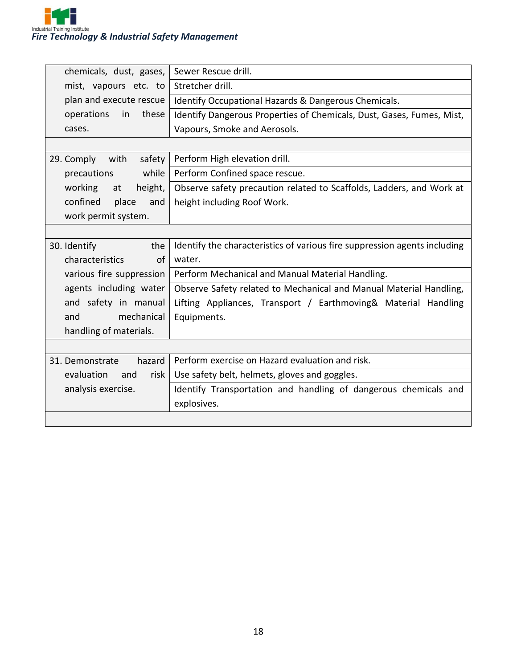

| chemicals, dust, gases,   | Sewer Rescue drill.                                                       |
|---------------------------|---------------------------------------------------------------------------|
| mist, vapours etc. to     | Stretcher drill.                                                          |
| plan and execute rescue   | Identify Occupational Hazards & Dangerous Chemicals.                      |
| operations<br>these<br>in | Identify Dangerous Properties of Chemicals, Dust, Gases, Fumes, Mist,     |
| cases.                    | Vapours, Smoke and Aerosols.                                              |
|                           |                                                                           |
| 29. Comply with<br>safety | Perform High elevation drill.                                             |
| while<br>precautions      | Perform Confined space rescue.                                            |
| working<br>height,<br>at  | Observe safety precaution related to Scaffolds, Ladders, and Work at      |
| confined<br>place<br>and  | height including Roof Work.                                               |
| work permit system.       |                                                                           |
|                           |                                                                           |
| 30. Identify<br>the       | Identify the characteristics of various fire suppression agents including |
| characteristics<br>of     | water.                                                                    |
| various fire suppression  | Perform Mechanical and Manual Material Handling.                          |
| agents including water    | Observe Safety related to Mechanical and Manual Material Handling,        |
| and safety in manual      | Lifting Appliances, Transport / Earthmoving& Material Handling            |
| mechanical<br>and         | Equipments.                                                               |
| handling of materials.    |                                                                           |
|                           |                                                                           |
| hazard<br>31. Demonstrate | Perform exercise on Hazard evaluation and risk.                           |
| evaluation<br>risk<br>and | Use safety belt, helmets, gloves and goggles.                             |
| analysis exercise.        | Identify Transportation and handling of dangerous chemicals and           |
|                           | explosives.                                                               |
|                           |                                                                           |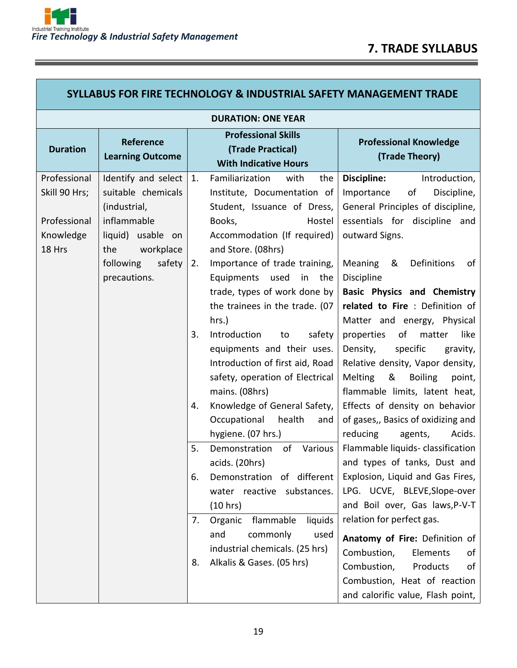| <b>SYLLABUS FOR FIRE TECHNOLOGY &amp; INDUSTRIAL SAFETY MANAGEMENT TRADE</b> |                                                                                                                                                          |                |                                                                                                                                                                                                                                                                                                                |                                                                                                                                                                                                                                                                                                                    |
|------------------------------------------------------------------------------|----------------------------------------------------------------------------------------------------------------------------------------------------------|----------------|----------------------------------------------------------------------------------------------------------------------------------------------------------------------------------------------------------------------------------------------------------------------------------------------------------------|--------------------------------------------------------------------------------------------------------------------------------------------------------------------------------------------------------------------------------------------------------------------------------------------------------------------|
|                                                                              |                                                                                                                                                          |                | <b>DURATION: ONE YEAR</b>                                                                                                                                                                                                                                                                                      |                                                                                                                                                                                                                                                                                                                    |
| <b>Duration</b>                                                              | Reference<br><b>Learning Outcome</b>                                                                                                                     |                | <b>Professional Skills</b><br>(Trade Practical)<br><b>With Indicative Hours</b>                                                                                                                                                                                                                                | <b>Professional Knowledge</b><br>(Trade Theory)                                                                                                                                                                                                                                                                    |
| Professional<br>Skill 90 Hrs;<br>Professional<br>Knowledge<br>18 Hrs         | Identify and select<br>suitable chemicals<br>(industrial,<br>inflammable<br>liquid) usable on<br>workplace<br>the<br>following<br>safety<br>precautions. | 1.<br>2.       | Familiarization<br>with<br>the<br>Institute, Documentation of<br>Student, Issuance of Dress,<br>Books,<br>Hostel<br>Accommodation (If required)<br>and Store. (08hrs)<br>Importance of trade training,<br>Equipments used<br>in the<br>trade, types of work done by<br>the trainees in the trade. (07<br>hrs.) | Discipline:<br>Introduction,<br>Discipline,<br>Importance<br>of<br>General Principles of discipline,<br>essentials for discipline and<br>outward Signs.<br>&<br>Definitions<br>Meaning<br>of<br>Discipline<br><b>Basic Physics and Chemistry</b><br>related to Fire : Definition of<br>Matter and energy, Physical |
|                                                                              |                                                                                                                                                          | 3.<br>4.       | Introduction<br>safety<br>to<br>equipments and their uses.<br>Introduction of first aid, Road<br>safety, operation of Electrical<br>mains. (08hrs)<br>Knowledge of General Safety,<br>Occupational<br>health<br>and<br>hygiene. (07 hrs.)                                                                      | like<br>of<br>properties<br>matter<br>specific<br>Density,<br>gravity,<br>Relative density, Vapor density,<br>&<br><b>Melting</b><br><b>Boiling</b><br>point,<br>flammable limits, latent heat,<br>Effects of density on behavior<br>of gases,, Basics of oxidizing and<br>reducing<br>Acids.<br>agents,           |
|                                                                              |                                                                                                                                                          | 5.<br>6.<br>7. | of<br>Various<br>Demonstration<br>acids. (20hrs)<br>Demonstration of different<br>reactive substances.<br>water<br>(10 hrs)<br>flammable<br>liquids<br>Organic<br>commonly<br>and<br>used                                                                                                                      | Flammable liquids-classification<br>and types of tanks, Dust and<br>Explosion, Liquid and Gas Fires,<br>LPG. UCVE, BLEVE, Slope-over<br>and Boil over, Gas laws, P-V-T<br>relation for perfect gas.<br>Anatomy of Fire: Definition of                                                                              |
|                                                                              |                                                                                                                                                          | 8.             | industrial chemicals. (25 hrs)<br>Alkalis & Gases. (05 hrs)                                                                                                                                                                                                                                                    | Combustion,<br>Elements<br>of<br>Combustion,<br>Products<br>οf<br>Combustion, Heat of reaction<br>and calorific value, Flash point,                                                                                                                                                                                |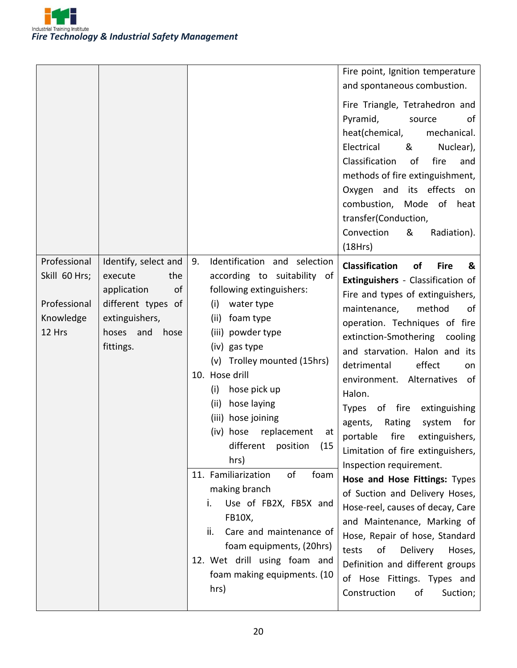

|                                                                      |                                                                                                                                          |                                                                                                                                                                                                                                                                                                                                                                                                                                                                                                                                                                                                                     | Fire point, Ignition temperature<br>and spontaneous combustion.<br>Fire Triangle, Tetrahedron and<br>Pyramid,<br>source<br>of<br>heat(chemical,<br>mechanical.<br>Electrical<br>&<br>Nuclear),<br>Classification<br>fire<br>of<br>and<br>methods of fire extinguishment,<br>Oxygen and its effects on<br>combustion,<br>Mode<br>of<br>heat<br>transfer(Conduction,<br>Convection<br>&<br>Radiation).<br>(18Hrs)                                                                                                                                                                                                                                                                                                                                                                                                                                      |
|----------------------------------------------------------------------|------------------------------------------------------------------------------------------------------------------------------------------|---------------------------------------------------------------------------------------------------------------------------------------------------------------------------------------------------------------------------------------------------------------------------------------------------------------------------------------------------------------------------------------------------------------------------------------------------------------------------------------------------------------------------------------------------------------------------------------------------------------------|------------------------------------------------------------------------------------------------------------------------------------------------------------------------------------------------------------------------------------------------------------------------------------------------------------------------------------------------------------------------------------------------------------------------------------------------------------------------------------------------------------------------------------------------------------------------------------------------------------------------------------------------------------------------------------------------------------------------------------------------------------------------------------------------------------------------------------------------------|
| Professional<br>Skill 60 Hrs;<br>Professional<br>Knowledge<br>12 Hrs | Identify, select and<br>execute<br>the<br>of<br>application<br>different types of<br>extinguishers,<br>hoses<br>and<br>hose<br>fittings. | Identification and selection<br>9.<br>according to suitability of<br>following extinguishers:<br>(i)<br>water type<br>(ii)<br>foam type<br>(iii) powder type<br>(iv) gas type<br>Trolley mounted (15hrs)<br>(v)<br>10. Hose drill<br>(i)<br>hose pick up<br>(ii)<br>hose laying<br>(iii) hose joining<br>replacement<br>(iv) hose<br>at<br>different<br>position<br>(15<br>hrs)<br>11. Familiarization<br>of<br>foam<br>making branch<br>Use of FB2X, FB5X and<br>i.<br>FB10X,<br>ii.<br>Care and maintenance of<br>foam equipments, (20hrs)<br>12. Wet drill using foam and<br>foam making equipments. (10<br>hrs) | <b>Classification</b><br>of<br><b>Fire</b><br>&<br>Extinguishers - Classification of<br>Fire and types of extinguishers,<br>method<br>maintenance,<br>of<br>operation. Techniques of fire<br>extinction-Smothering<br>cooling<br>and starvation. Halon and its<br>effect<br>detrimental<br>on.<br>environment. Alternatives<br>of<br>Halon.<br>of fire<br><b>Types</b><br>extinguishing<br>agents,<br>Rating<br>system<br>for<br>portable<br>fire<br>extinguishers,<br>Limitation of fire extinguishers,<br>Inspection requirement.<br>Hose and Hose Fittings: Types<br>of Suction and Delivery Hoses,<br>Hose-reel, causes of decay, Care<br>and Maintenance, Marking of<br>Hose, Repair of hose, Standard<br>Delivery<br>tests<br>of<br>Hoses,<br>Definition and different groups<br>of Hose Fittings. Types and<br>Construction<br>οf<br>Suction; |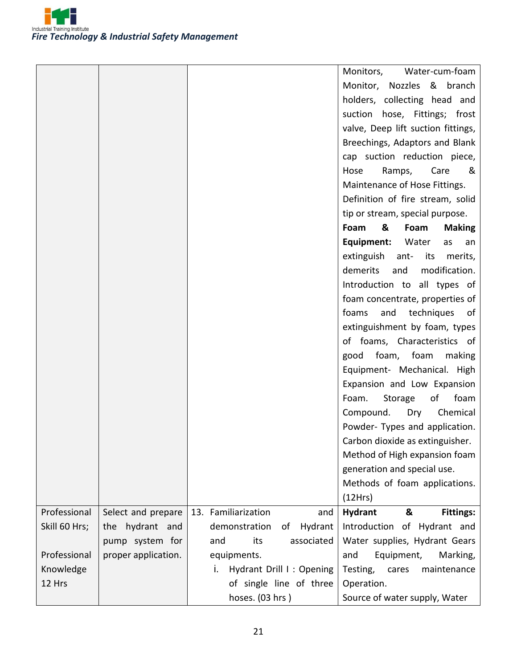

|               |                     |                                 | Monitors,<br>Water-cum-foam             |
|---------------|---------------------|---------------------------------|-----------------------------------------|
|               |                     |                                 | Monitor, Nozzles & branch               |
|               |                     |                                 | holders, collecting head and            |
|               |                     |                                 | suction hose, Fittings; frost           |
|               |                     |                                 | valve, Deep lift suction fittings,      |
|               |                     |                                 | Breechings, Adaptors and Blank          |
|               |                     |                                 | cap suction reduction piece,            |
|               |                     |                                 | Ramps,<br>Care<br>Hose<br>&             |
|               |                     |                                 | Maintenance of Hose Fittings.           |
|               |                     |                                 | Definition of fire stream, solid        |
|               |                     |                                 | tip or stream, special purpose.         |
|               |                     |                                 | &<br>Foam<br>Foam<br><b>Making</b>      |
|               |                     |                                 | Equipment:<br>Water<br>as<br>an         |
|               |                     |                                 | extinguish<br>ant-<br>its<br>merits,    |
|               |                     |                                 | modification.<br>demerits<br>and        |
|               |                     |                                 | Introduction to all types of            |
|               |                     |                                 | foam concentrate, properties of         |
|               |                     |                                 | foams<br>and<br>techniques<br>of        |
|               |                     |                                 | extinguishment by foam, types           |
|               |                     |                                 | of foams, Characteristics of            |
|               |                     |                                 | foam, foam<br>making<br>good            |
|               |                     |                                 | Equipment- Mechanical. High             |
|               |                     |                                 | Expansion and Low Expansion             |
|               |                     |                                 | foam<br>Foam.<br>Storage<br>of          |
|               |                     |                                 | Dry<br>Chemical<br>Compound.            |
|               |                     |                                 | Powder- Types and application.          |
|               |                     |                                 | Carbon dioxide as extinguisher.         |
|               |                     |                                 | Method of High expansion foam           |
|               |                     |                                 | generation and special use.             |
|               |                     |                                 | Methods of foam applications.           |
|               |                     |                                 | (12Hrs)                                 |
| Professional  | Select and prepare  | 13. Familiarization<br>and      | <b>Hydrant</b><br>&<br><b>Fittings:</b> |
| Skill 60 Hrs; | the hydrant and     | demonstration<br>Hydrant<br>of  | Introduction of Hydrant and             |
|               | pump system for     | its<br>associated<br>and        | Water supplies, Hydrant Gears           |
| Professional  | proper application. | equipments.                     | and<br>Equipment,<br>Marking,           |
| Knowledge     |                     | Hydrant Drill I : Opening<br>i. | Testing,<br>maintenance<br>cares        |
| 12 Hrs        |                     | of single line of three         | Operation.                              |
|               |                     | hoses. (03 hrs)                 | Source of water supply, Water           |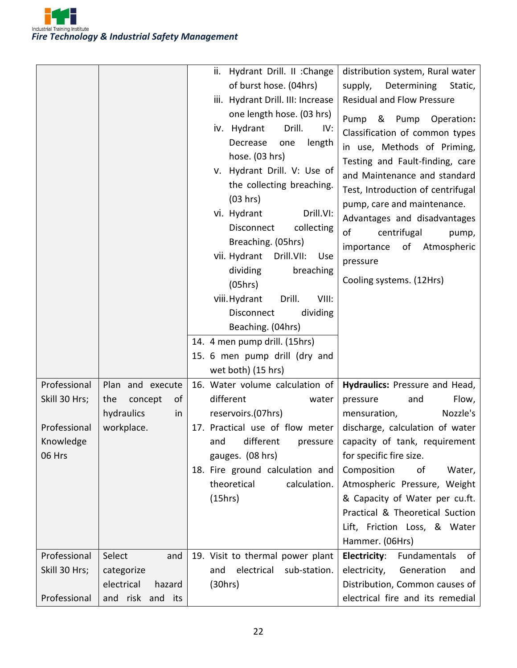

|                                                                      |                                                                            | ii.<br>Hydrant Drill. II : Change<br>of burst hose. (04hrs)<br>iii. Hydrant Drill. III: Increase<br>one length hose. (03 hrs)<br>iv. Hydrant<br>Drill.<br>IV:<br>Decrease<br>length<br>one<br>hose. (03 hrs)<br>v. Hydrant Drill. V: Use of<br>the collecting breaching.<br>(03 hrs)<br>vi. Hydrant<br>Drill.VI:<br>collecting<br>Disconnect<br>Breaching. (05hrs)<br>vii. Hydrant<br>Drill.VII:<br>Use<br>dividing<br>breaching<br>(05hrs)<br>viii. Hydrant<br>Drill.<br>VIII:<br>dividing<br>Disconnect<br>Beaching. (04hrs)<br>14. 4 men pump drill. (15hrs)<br>15. 6 men pump drill (dry and<br>wet both) (15 hrs) | distribution system, Rural water<br>Determining<br>supply,<br>Static,<br><b>Residual and Flow Pressure</b><br>Pump<br>& Pump<br>Operation:<br>Classification of common types<br>in use, Methods of Priming,<br>Testing and Fault-finding, care<br>and Maintenance and standard<br>Test, Introduction of centrifugal<br>pump, care and maintenance.<br>Advantages and disadvantages<br>centrifugal<br>of<br>pump,<br>of<br>Atmospheric<br>importance<br>pressure<br>Cooling systems. (12Hrs) |
|----------------------------------------------------------------------|----------------------------------------------------------------------------|------------------------------------------------------------------------------------------------------------------------------------------------------------------------------------------------------------------------------------------------------------------------------------------------------------------------------------------------------------------------------------------------------------------------------------------------------------------------------------------------------------------------------------------------------------------------------------------------------------------------|---------------------------------------------------------------------------------------------------------------------------------------------------------------------------------------------------------------------------------------------------------------------------------------------------------------------------------------------------------------------------------------------------------------------------------------------------------------------------------------------|
| Professional<br>Skill 30 Hrs;<br>Professional<br>Knowledge<br>06 Hrs | Plan and execute<br>concept<br>οf<br>the<br>hydraulics<br>in<br>workplace. | 16. Water volume calculation of<br>different<br>water<br>reservoirs.(07hrs)<br>17. Practical use of flow meter<br>different<br>and<br>pressure<br>gauges. (08 hrs)<br>18. Fire ground calculation and<br>calculation.<br>theoretical<br>(15hrs)                                                                                                                                                                                                                                                                                                                                                                        | Hydraulics: Pressure and Head,<br>Flow,<br>pressure<br>and<br>Nozzle's<br>mensuration,<br>discharge, calculation of water<br>capacity of tank, requirement<br>for specific fire size.<br>Composition<br>of<br>Water,<br>Atmospheric Pressure, Weight<br>& Capacity of Water per cu.ft.<br>Practical & Theoretical Suction<br>Lift, Friction Loss, & Water<br>Hammer. (06Hrs)                                                                                                                |
| Professional<br>Skill 30 Hrs;<br>Professional                        | Select<br>and<br>categorize<br>electrical<br>hazard<br>and risk and its    | 19. Visit to thermal power plant<br>electrical<br>sub-station.<br>and<br>(30hrs)                                                                                                                                                                                                                                                                                                                                                                                                                                                                                                                                       | <b>Electricity:</b><br>Fundamentals<br>οf<br>electricity,<br>Generation<br>and<br>Distribution, Common causes of<br>electrical fire and its remedial                                                                                                                                                                                                                                                                                                                                        |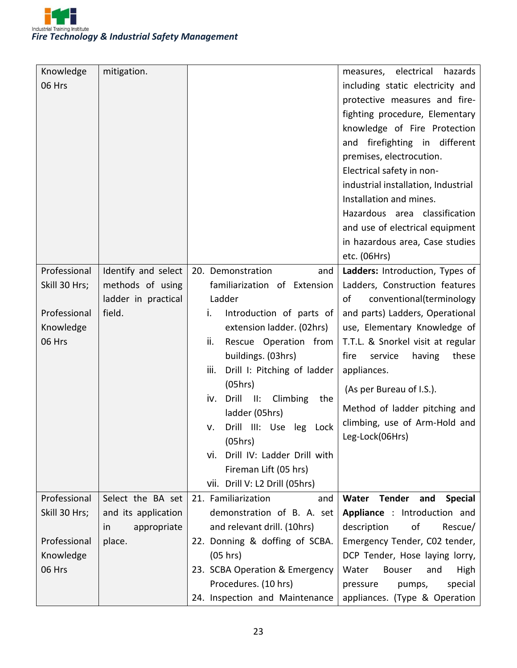

| Knowledge     | mitigation.              |                                                   | electrical<br>hazards<br>measures,       |
|---------------|--------------------------|---------------------------------------------------|------------------------------------------|
| 06 Hrs        |                          |                                                   | including static electricity and         |
|               |                          |                                                   | protective measures and fire-            |
|               |                          |                                                   | fighting procedure, Elementary           |
|               |                          |                                                   | knowledge of Fire Protection             |
|               |                          |                                                   | and firefighting in different            |
|               |                          |                                                   | premises, electrocution.                 |
|               |                          |                                                   | Electrical safety in non-                |
|               |                          |                                                   | industrial installation, Industrial      |
|               |                          |                                                   | Installation and mines.                  |
|               |                          |                                                   | Hazardous area classification            |
|               |                          |                                                   | and use of electrical equipment          |
|               |                          |                                                   | in hazardous area, Case studies          |
|               |                          |                                                   | etc. (06Hrs)                             |
| Professional  | Identify and select      | 20. Demonstration<br>and                          | Ladders: Introduction, Types of          |
| Skill 30 Hrs; | methods of using         | familiarization of Extension                      | Ladders, Construction features           |
|               | ladder in practical      | Ladder                                            | conventional(terminology<br>οf           |
| Professional  | field.                   | i.<br>Introduction of parts of                    | and parts) Ladders, Operational          |
| Knowledge     |                          | extension ladder. (02hrs)                         | use, Elementary Knowledge of             |
| 06 Hrs        |                          | ii.<br>Rescue Operation from                      | T.T.L. & Snorkel visit at regular        |
|               |                          | buildings. (03hrs)                                | service<br>these<br>fire<br>having       |
|               |                          | Drill I: Pitching of ladder<br>iii.               | appliances.                              |
|               |                          | (05hrs)                                           | (As per Bureau of I.S.).                 |
|               |                          | Drill<br>$\blacksquare$<br>Climbing<br>the<br>iv. | Method of ladder pitching and            |
|               |                          | ladder (05hrs)                                    | climbing, use of Arm-Hold and            |
|               |                          | Drill III: Use<br>leg<br>v.<br>Lock               | Leg-Lock(06Hrs)                          |
|               |                          | (05hrs)                                           |                                          |
|               |                          | vi. Drill IV: Ladder Drill with                   |                                          |
|               |                          | Fireman Lift (05 hrs)                             |                                          |
|               |                          | vii. Drill V: L2 Drill (05hrs)                    |                                          |
| Professional  | Select the BA set        | 21. Familiarization<br>and                        | Tender<br>and<br><b>Special</b><br>Water |
| Skill 30 Hrs; | and its application      | demonstration of B. A. set                        | Appliance : Introduction and             |
|               | appropriate<br><i>in</i> | and relevant drill. (10hrs)                       | description<br>of<br>Rescue/             |
| Professional  | place.                   | 22. Donning & doffing of SCBA.                    | Emergency Tender, C02 tender,            |
| Knowledge     |                          | (05 hrs)                                          | DCP Tender, Hose laying lorry,           |
| 06 Hrs        |                          | 23. SCBA Operation & Emergency                    | Water<br>Bouser<br>High<br>and           |
|               |                          | Procedures. (10 hrs)                              | special<br>pressure<br>pumps,            |
|               |                          | 24. Inspection and Maintenance                    | appliances. (Type & Operation            |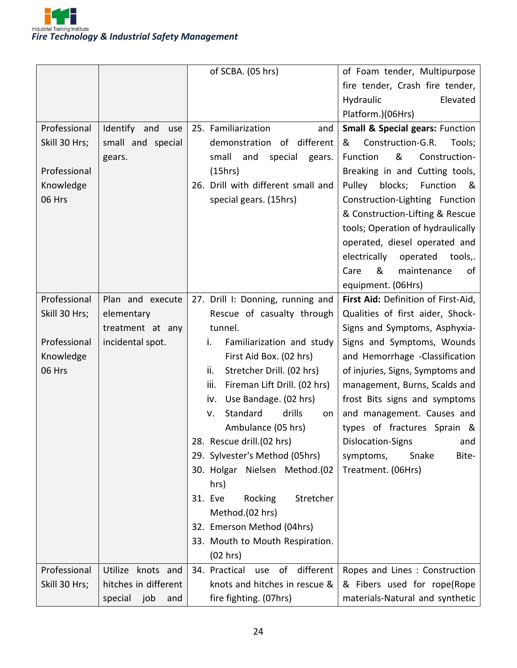

|               |                      | of SCBA. (05 hrs)                       | of Foam tender, Multipurpose               |
|---------------|----------------------|-----------------------------------------|--------------------------------------------|
|               |                      |                                         | fire tender, Crash fire tender,            |
|               |                      |                                         | Hydraulic<br>Elevated                      |
|               |                      |                                         | Platform.)(06Hrs)                          |
| Professional  | Identify and<br>use  | 25. Familiarization<br>and              | <b>Small &amp; Special gears: Function</b> |
| Skill 30 Hrs; | small and special    | demonstration<br>of different           | Construction-G.R.<br>Tools;<br>&           |
|               | gears.               | small<br>and<br>special<br>gears.       | &<br>Construction-<br>Function             |
| Professional  |                      | (15hrs)                                 | Breaking in and Cutting tools,             |
| Knowledge     |                      | 26. Drill with different small and      | Pulley<br>blocks;<br>Function<br>୍ୟ &      |
| 06 Hrs        |                      | special gears. (15hrs)                  | Construction-Lighting Function             |
|               |                      |                                         | & Construction-Lifting & Rescue            |
|               |                      |                                         | tools; Operation of hydraulically          |
|               |                      |                                         | operated, diesel operated and              |
|               |                      |                                         | electrically<br>operated<br>tools,.        |
|               |                      |                                         | &<br>maintenance<br>Care<br>of             |
|               |                      |                                         | equipment. (06Hrs)                         |
| Professional  | Plan and execute     | 27. Drill I: Donning, running and       | First Aid: Definition of First-Aid,        |
| Skill 30 Hrs; | elementary           | Rescue of casualty through              | Qualities of first aider, Shock-           |
|               | treatment at any     | tunnel.                                 | Signs and Symptoms, Asphyxia-              |
| Professional  | incidental spot.     | Familiarization and study<br>İ.         | Signs and Symptoms, Wounds                 |
| Knowledge     |                      | First Aid Box. (02 hrs)                 | and Hemorrhage -Classification             |
| 06 Hrs        |                      | ii.<br>Stretcher Drill. (02 hrs)        | of injuries, Signs, Symptoms and           |
|               |                      | iii.<br>Fireman Lift Drill. (02 hrs)    | management, Burns, Scalds and              |
|               |                      | Use Bandage. (02 hrs)<br>İV.            | frost Bits signs and symptoms              |
|               |                      | Standard<br>drills<br>V.<br>on          | and management. Causes and                 |
|               |                      | Ambulance (05 hrs)                      | types of fractures Sprain &                |
|               |                      | 28. Rescue drill.(02 hrs)               | Dislocation-Signs<br>and                   |
|               |                      | 29. Sylvester's Method (05hrs)          | Bite-<br>symptoms,<br>Snake                |
|               |                      | 30. Holgar Nielsen Method.(02           | Treatment. (06Hrs)                         |
|               |                      | hrs)                                    |                                            |
|               |                      | Stretcher<br>31. Eve<br>Rocking         |                                            |
|               |                      | Method.(02 hrs)                         |                                            |
|               |                      | 32. Emerson Method (04hrs)              |                                            |
|               |                      | 33. Mouth to Mouth Respiration.         |                                            |
|               |                      | (02 hrs)                                |                                            |
| Professional  | Utilize<br>knots and | different<br>34. Practical<br>of<br>use | Ropes and Lines: Construction              |
| Skill 30 Hrs; | hitches in different | knots and hitches in rescue &           | & Fibers used for rope(Rope                |
|               | special job<br>and   | fire fighting. (07hrs)                  | materials-Natural and synthetic            |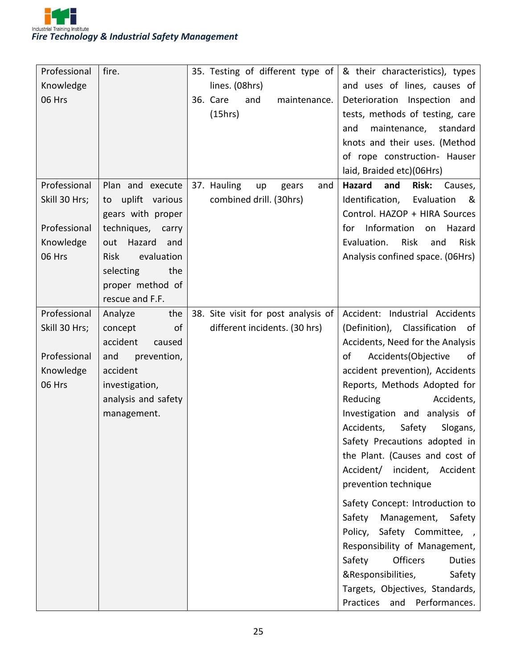

| Professional  | fire.                | 35. Testing of different type of    | & their characteristics), types            |
|---------------|----------------------|-------------------------------------|--------------------------------------------|
| Knowledge     |                      | lines. (08hrs)                      | and uses of lines, causes of               |
| 06 Hrs        |                      | 36. Care<br>and<br>maintenance.     | Deterioration Inspection and               |
|               |                      | (15hrs)                             | tests, methods of testing, care            |
|               |                      |                                     | maintenance, standard<br>and               |
|               |                      |                                     | knots and their uses. (Method              |
|               |                      |                                     | of rope construction- Hauser               |
|               |                      |                                     | laid, Braided etc)(06Hrs)                  |
| Professional  | Plan and execute     | 37. Hauling<br>up<br>gears<br>and   | Hazard<br><b>Risk:</b><br>and<br>Causes,   |
| Skill 30 Hrs; | uplift various<br>to | combined drill. (30hrs)             | Identification,<br>Evaluation<br>୍ଷ        |
|               | gears with proper    |                                     | Control. HAZOP + HIRA Sources              |
| Professional  | techniques, carry    |                                     | Information<br>for<br>Hazard<br>on         |
| Knowledge     | Hazard<br>out<br>and |                                     | Evaluation.<br>Risk<br>Risk<br>and         |
| 06 Hrs        | evaluation<br>Risk   |                                     | Analysis confined space. (06Hrs)           |
|               | selecting<br>the     |                                     |                                            |
|               | proper method of     |                                     |                                            |
|               | rescue and F.F.      |                                     |                                            |
| Professional  | the<br>Analyze       | 38. Site visit for post analysis of | Accident: Industrial Accidents             |
| Skill 30 Hrs; | of<br>concept        | different incidents. (30 hrs)       | (Definition), Classification<br>of         |
|               | accident<br>caused   |                                     | Accidents, Need for the Analysis           |
| Professional  | and<br>prevention,   |                                     | Accidents (Objective<br>of<br>of           |
| Knowledge     | accident             |                                     | accident prevention), Accidents            |
| 06 Hrs        | investigation,       |                                     | Reports, Methods Adopted for               |
|               | analysis and safety  |                                     | Accidents,<br>Reducing                     |
|               | management.          |                                     | Investigation and analysis of              |
|               |                      |                                     | Safety<br>Accidents,<br>Slogans,           |
|               |                      |                                     | Safety Precautions adopted in              |
|               |                      |                                     | the Plant. (Causes and cost of             |
|               |                      |                                     | Accident/ incident,<br>Accident            |
|               |                      |                                     | prevention technique                       |
|               |                      |                                     | Safety Concept: Introduction to            |
|               |                      |                                     | Management,<br>Safety<br>Safety            |
|               |                      |                                     | Safety Committee, ,<br>Policy,             |
|               |                      |                                     | Responsibility of Management,              |
|               |                      |                                     | Safety<br><b>Officers</b><br><b>Duties</b> |
|               |                      |                                     | &Responsibilities,<br>Safety               |
|               |                      |                                     | Targets, Objectives, Standards,            |
|               |                      |                                     | Practices<br>and<br>Performances.          |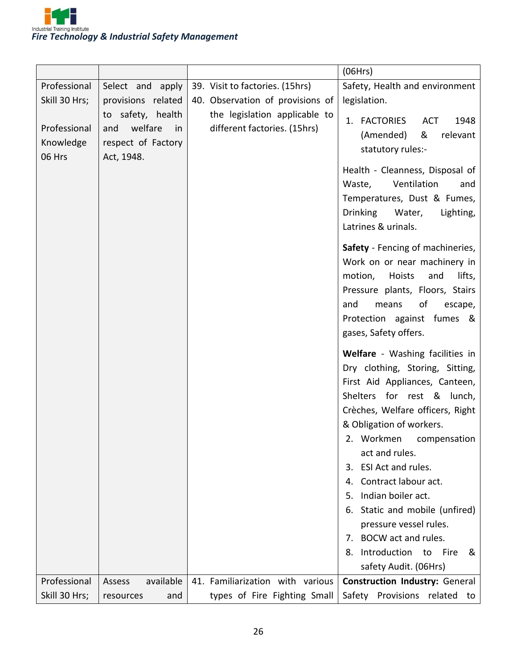

|                                               |                                                                                     |                                                                                                                                      | (06Hrs)                                                                                                                                                                                                                                                                                                                                                                                                                                                                                          |
|-----------------------------------------------|-------------------------------------------------------------------------------------|--------------------------------------------------------------------------------------------------------------------------------------|--------------------------------------------------------------------------------------------------------------------------------------------------------------------------------------------------------------------------------------------------------------------------------------------------------------------------------------------------------------------------------------------------------------------------------------------------------------------------------------------------|
| Professional<br>Skill 30 Hrs;<br>Professional | Select and apply<br>provisions related<br>to safety, health<br>welfare<br>and<br>in | 39. Visit to factories. (15hrs)<br>40. Observation of provisions of<br>the legislation applicable to<br>different factories. (15hrs) | Safety, Health and environment<br>legislation.<br>1. FACTORIES<br><b>ACT</b><br>1948                                                                                                                                                                                                                                                                                                                                                                                                             |
| Knowledge<br>06 Hrs                           | respect of Factory<br>Act, 1948.                                                    |                                                                                                                                      | (Amended)<br>&<br>relevant<br>statutory rules:-<br>Health - Cleanness, Disposal of<br>Ventilation<br>Waste,<br>and<br>Temperatures, Dust & Fumes,<br>Drinking Water,<br>Lighting,<br>Latrines & urinals.<br>Safety - Fencing of machineries,<br>Work on or near machinery in<br>lifts,<br>motion,<br>Hoists<br>and<br>Pressure plants, Floors, Stairs<br>means<br>of<br>and<br>escape,<br>Protection against fumes &<br>gases, Safety offers.                                                    |
|                                               |                                                                                     |                                                                                                                                      | Welfare - Washing facilities in<br>Dry clothing, Storing, Sitting,<br>First Aid Appliances, Canteen,<br>Shelters for rest & lunch,<br>Crèches, Welfare officers, Right<br>& Obligation of workers.<br>2. Workmen<br>compensation<br>act and rules.<br>ESI Act and rules.<br>3.<br>Contract labour act.<br>4.<br>Indian boiler act.<br>5.<br>Static and mobile (unfired)<br>6.<br>pressure vessel rules.<br>BOCW act and rules.<br>7.<br>Introduction to Fire<br>8.<br>&<br>safety Audit. (06Hrs) |
| Professional<br>Skill 30 Hrs;                 | available<br>Assess<br>resources<br>and                                             | 41. Familiarization with various<br>types of Fire Fighting Small                                                                     | <b>Construction Industry: General</b><br>Safety<br>Provisions related to                                                                                                                                                                                                                                                                                                                                                                                                                         |
|                                               |                                                                                     |                                                                                                                                      |                                                                                                                                                                                                                                                                                                                                                                                                                                                                                                  |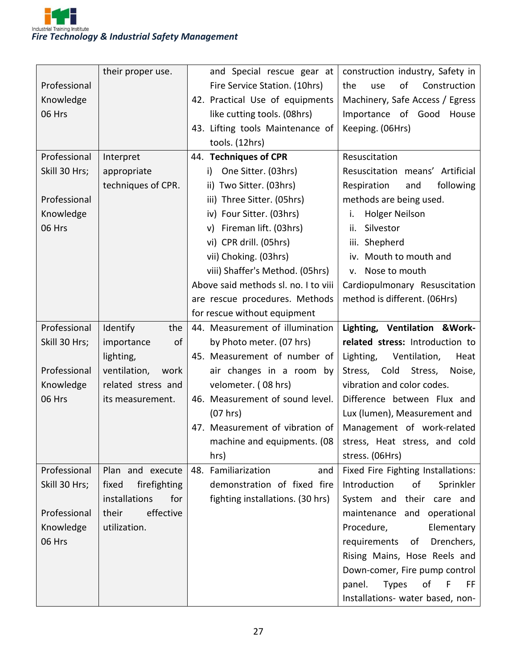|               | their proper use.     | and Special rescue gear at           | construction industry, Safety in         |
|---------------|-----------------------|--------------------------------------|------------------------------------------|
| Professional  |                       | Fire Service Station. (10hrs)        | of<br>Construction<br>the<br>use         |
| Knowledge     |                       | 42. Practical Use of equipments      | Machinery, Safe Access / Egress          |
| 06 Hrs        |                       | like cutting tools. (08hrs)          | Importance of Good<br>House              |
|               |                       | 43. Lifting tools Maintenance of     | Keeping. (06Hrs)                         |
|               |                       | tools. (12hrs)                       |                                          |
| Professional  | Interpret             | 44. Techniques of CPR                | Resuscitation                            |
| Skill 30 Hrs; | appropriate           | One Sitter. (03hrs)<br>i)            | Resuscitation means' Artificial          |
|               | techniques of CPR.    | ii) Two Sitter. (03hrs)              | following<br>Respiration<br>and          |
| Professional  |                       | iii) Three Sitter. (05hrs)           | methods are being used.                  |
| Knowledge     |                       | iv) Four Sitter. (03hrs)             | <b>Holger Neilson</b><br>i.              |
| 06 Hrs        |                       | v) Fireman lift. (03hrs)             | Silvestor<br>ii.                         |
|               |                       | vi) CPR drill. (05hrs)               | iii. Shepherd                            |
|               |                       | vii) Choking. (03hrs)                | iv. Mouth to mouth and                   |
|               |                       | viii) Shaffer's Method. (05hrs)      | v. Nose to mouth                         |
|               |                       | Above said methods sl. no. I to viii | Cardiopulmonary Resuscitation            |
|               |                       | are rescue procedures. Methods       | method is different. (06Hrs)             |
|               |                       | for rescue without equipment         |                                          |
| Professional  | Identify<br>the       | 44. Measurement of illumination      | Lighting, Ventilation & Work-            |
|               |                       |                                      |                                          |
| Skill 30 Hrs; | of<br>importance      | by Photo meter. (07 hrs)             | related stress: Introduction to          |
|               | lighting,             | 45. Measurement of number of         | Lighting,<br>Ventilation,<br>Heat        |
| Professional  | ventilation,<br>work  | air changes in a room by             | Stress, Cold<br>Stress,<br>Noise,        |
| Knowledge     | related stress and    | velometer. (08 hrs)                  | vibration and color codes.               |
| 06 Hrs        | its measurement.      | 46. Measurement of sound level.      | Difference between Flux and              |
|               |                       | (07 hrs)                             | Lux (lumen), Measurement and             |
|               |                       | 47. Measurement of vibration of      | Management of work-related               |
|               |                       | machine and equipments. (08          | stress, Heat stress, and cold            |
|               |                       | hrs)                                 | stress. (06Hrs)                          |
| Professional  | Plan and execute      | 48. Familiarization<br>and           | Fixed Fire Fighting Installations:       |
| Skill 30 Hrs; | fixed<br>firefighting | demonstration of fixed fire          | Introduction<br>of<br>Sprinkler          |
|               | installations<br>for  | fighting installations. (30 hrs)     | System and<br>their care and             |
| Professional  | effective<br>their    |                                      | maintenance and operational              |
| Knowledge     | utilization.          |                                      | Procedure,<br>Elementary                 |
| 06 Hrs        |                       |                                      | requirements<br>of<br>Drenchers,         |
|               |                       |                                      | Rising Mains, Hose Reels and             |
|               |                       |                                      | Down-comer, Fire pump control            |
|               |                       |                                      | <b>Types</b><br>of<br>panel.<br>F<br>FF. |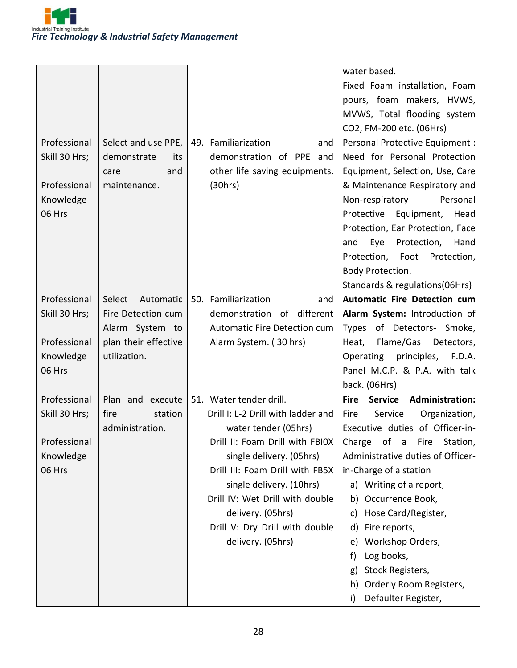

|               |                      |                                    | water based.                                                |
|---------------|----------------------|------------------------------------|-------------------------------------------------------------|
|               |                      |                                    | Fixed Foam installation, Foam                               |
|               |                      |                                    | pours, foam makers, HVWS,                                   |
|               |                      |                                    | MVWS, Total flooding system                                 |
|               |                      |                                    | CO2, FM-200 etc. (06Hrs)                                    |
| Professional  | Select and use PPE,  | 49. Familiarization<br>and         | Personal Protective Equipment :                             |
| Skill 30 Hrs; | demonstrate<br>its   | demonstration of PPE and           | Need for Personal Protection                                |
|               | and<br>care          | other life saving equipments.      | Equipment, Selection, Use, Care                             |
| Professional  | maintenance.         | (30hrs)                            | & Maintenance Respiratory and                               |
| Knowledge     |                      |                                    | Non-respiratory<br>Personal                                 |
| 06 Hrs        |                      |                                    | Protective Equipment, Head                                  |
|               |                      |                                    | Protection, Ear Protection, Face                            |
|               |                      |                                    | Eye<br>Protection,<br>Hand<br>and                           |
|               |                      |                                    | Protection, Foot<br>Protection,                             |
|               |                      |                                    | Body Protection.                                            |
|               |                      |                                    | Standards & regulations (06Hrs)                             |
| Professional  | Select<br>Automatic  | 50. Familiarization<br>and         | <b>Automatic Fire Detection cum</b>                         |
| Skill 30 Hrs; | Fire Detection cum   | different<br>demonstration<br>of   | Alarm System: Introduction of                               |
|               | Alarm System to      | Automatic Fire Detection cum       | Types of Detectors- Smoke,                                  |
| Professional  | plan their effective | Alarm System. (30 hrs)             | Flame/Gas<br>Detectors,<br>Heat,                            |
| Knowledge     | utilization.         |                                    | principles, F.D.A.<br>Operating                             |
| 06 Hrs        |                      |                                    | Panel M.C.P. & P.A. with talk                               |
|               |                      |                                    | back. (06Hrs)                                               |
| Professional  | Plan and execute     | 51. Water tender drill.            | <b>Administration:</b><br><b>Fire</b><br><b>Service</b>     |
| Skill 30 Hrs; | fire<br>station      | Drill I: L-2 Drill with ladder and | Service<br>Organization,<br>Fire                            |
|               | administration.      | water tender (05hrs)               | Executive duties of Officer-in-                             |
| Professional  |                      |                                    | Drill II: Foam Drill with FBIOX   Charge of a Fire Station, |
| Knowledge     |                      | single delivery. (05hrs)           | Administrative duties of Officer-                           |
| 06 Hrs        |                      | Drill III: Foam Drill with FB5X    | in-Charge of a station                                      |
|               |                      | single delivery. (10hrs)           | a) Writing of a report,                                     |
|               |                      | Drill IV: Wet Drill with double    | b) Occurrence Book,                                         |
|               |                      | delivery. (05hrs)                  | Hose Card/Register,<br>C)                                   |
|               |                      | Drill V: Dry Drill with double     | Fire reports,<br>d)                                         |
|               |                      | delivery. (05hrs)                  | Workshop Orders,<br>e)                                      |
|               |                      |                                    | Log books,<br>f)                                            |
|               |                      |                                    | Stock Registers,<br>g)                                      |
|               |                      |                                    | Orderly Room Registers,<br>h)                               |
|               |                      |                                    | Defaulter Register,<br>i)                                   |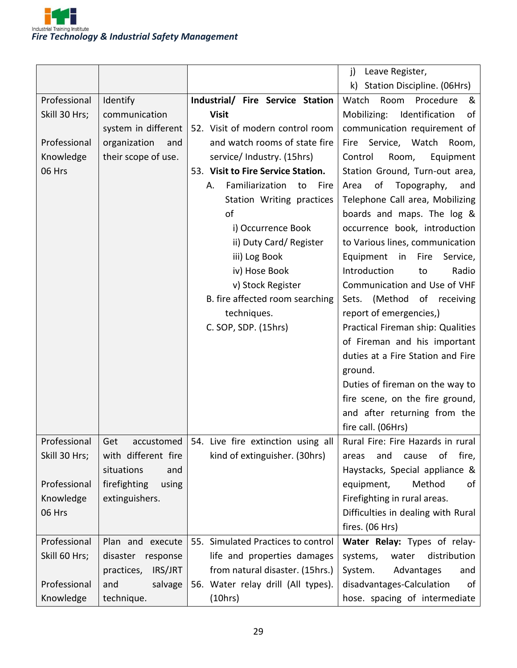

|               |                       |                                                 | j)<br>Leave Register,                |
|---------------|-----------------------|-------------------------------------------------|--------------------------------------|
|               |                       |                                                 | Station Discipline. (06Hrs)<br>k)    |
| Professional  | Identify              | Industrial/ Fire Service Station                | Watch<br>Room<br>Procedure<br>&      |
| Skill 30 Hrs; | communication         | <b>Visit</b>                                    | Mobilizing:<br>Identification<br>of  |
|               | system in different   | 52. Visit of modern control room                | communication requirement of         |
| Professional  | organization<br>and   | and watch rooms of state fire                   | Fire Service, Watch Room,            |
| Knowledge     | their scope of use.   | service/ Industry. (15hrs)                      | Control<br>Room,<br>Equipment        |
| 06 Hrs        |                       | 53. Visit to Fire Service Station.              | Station Ground, Turn-out area,       |
|               |                       | Familiarization<br>to<br>Fire<br>А.             | of<br>Area<br>Topography,<br>and     |
|               |                       | Station Writing practices                       | Telephone Call area, Mobilizing      |
|               |                       | of                                              | boards and maps. The log &           |
|               |                       | i) Occurrence Book                              | occurrence book, introduction        |
|               |                       | ii) Duty Card/ Register                         | to Various lines, communication      |
|               |                       | iii) Log Book                                   | Equipment<br>in<br>Fire<br>Service,  |
|               |                       | iv) Hose Book                                   | Introduction<br>Radio<br>to          |
|               |                       | v) Stock Register                               | Communication and Use of VHF         |
|               |                       | B. fire affected room searching                 | (Method of receiving<br>Sets.        |
|               |                       | techniques.                                     | report of emergencies,)              |
|               |                       | C. SOP, SDP. (15hrs)                            | Practical Fireman ship: Qualities    |
|               |                       |                                                 | of Fireman and his important         |
|               |                       |                                                 | duties at a Fire Station and Fire    |
|               |                       |                                                 | ground.                              |
|               |                       |                                                 | Duties of fireman on the way to      |
|               |                       |                                                 | fire scene, on the fire ground,      |
|               |                       |                                                 | and after returning from the         |
|               |                       |                                                 | fire call. (06Hrs)                   |
| Professional  | Get                   | accustomed   54. Live fire extinction using all | Rural Fire: Fire Hazards in rural    |
| Skill 30 Hrs; | with different fire   | kind of extinguisher. (30hrs)                   | οf<br>fire,<br>areas<br>and<br>cause |
|               | situations<br>and     |                                                 | Haystacks, Special appliance &       |
| Professional  | firefighting<br>using |                                                 | equipment,<br>Method<br>of           |
| Knowledge     | extinguishers.        |                                                 | Firefighting in rural areas.         |
| 06 Hrs        |                       |                                                 | Difficulties in dealing with Rural   |
|               |                       |                                                 | fires. (06 Hrs)                      |
| Professional  | Plan and execute      | 55. Simulated Practices to control              | Water Relay: Types of relay-         |
| Skill 60 Hrs; | disaster<br>response  | life and properties damages                     | distribution<br>systems,<br>water    |
|               | practices,<br>IRS/JRT | from natural disaster. (15hrs.)                 | Advantages<br>System.<br>and         |
| Professional  | salvage<br>and        | 56. Water relay drill (All types).              | disadvantages-Calculation<br>of      |
| Knowledge     | technique.            | (10hrs)                                         | hose. spacing of intermediate        |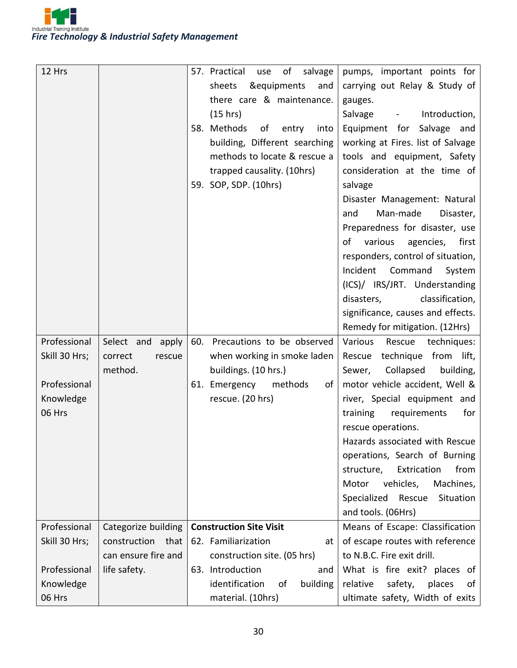

| 12 Hrs        |                      |     | 57. Practical<br>of<br>salvage<br>use | pumps, important points for                |
|---------------|----------------------|-----|---------------------------------------|--------------------------------------------|
|               |                      |     | &equipments<br>sheets<br>and          | carrying out Relay & Study of              |
|               |                      |     | there care & maintenance.             | gauges.                                    |
|               |                      |     | (15 hrs)                              | Introduction,<br>Salvage<br>$\blacksquare$ |
|               |                      |     | 58. Methods<br>of<br>entry<br>into    | Equipment for Salvage and                  |
|               |                      |     | building, Different searching         | working at Fires. list of Salvage          |
|               |                      |     | methods to locate & rescue a          | tools and equipment, Safety                |
|               |                      |     | trapped causality. (10hrs)            | consideration at the time of               |
|               |                      |     | 59. SOP, SDP. (10hrs)                 | salvage                                    |
|               |                      |     |                                       | Disaster Management: Natural               |
|               |                      |     |                                       | Man-made<br>Disaster,<br>and               |
|               |                      |     |                                       | Preparedness for disaster, use             |
|               |                      |     |                                       | first<br>of<br>various<br>agencies,        |
|               |                      |     |                                       | responders, control of situation,          |
|               |                      |     |                                       | Incident Command<br>System                 |
|               |                      |     |                                       | (ICS)/ IRS/JRT. Understanding              |
|               |                      |     |                                       | classification,<br>disasters,              |
|               |                      |     |                                       | significance, causes and effects.          |
|               |                      |     |                                       | Remedy for mitigation. (12Hrs)             |
| Professional  | Select and<br>apply  | 60. | Precautions to be observed            | Various<br>techniques:<br>Rescue           |
| Skill 30 Hrs; | correct<br>rescue    |     | when working in smoke laden           | technique from lift,<br>Rescue             |
|               | method.              |     | buildings. (10 hrs.)                  | Collapsed<br>building,<br>Sewer,           |
| Professional  |                      |     | 61. Emergency<br>methods<br>of        | motor vehicle accident, Well &             |
|               |                      |     |                                       |                                            |
| Knowledge     |                      |     | rescue. (20 hrs)                      | river, Special equipment and               |
| 06 Hrs        |                      |     |                                       | requirements<br>for<br>training            |
|               |                      |     |                                       | rescue operations.                         |
|               |                      |     |                                       | Hazards associated with Rescue             |
|               |                      |     |                                       | operations, Search of Burning              |
|               |                      |     |                                       | Extrication<br>from<br>structure,          |
|               |                      |     |                                       | vehicles,<br>Machines,<br>Motor            |
|               |                      |     |                                       | Specialized Rescue<br>Situation            |
|               |                      |     |                                       | and tools. (06Hrs)                         |
| Professional  | Categorize building  |     | <b>Construction Site Visit</b>        | Means of Escape: Classification            |
| Skill 30 Hrs; | construction<br>that |     | 62. Familiarization<br>at             | of escape routes with reference            |
|               | can ensure fire and  |     | construction site. (05 hrs)           | to N.B.C. Fire exit drill.                 |
| Professional  | life safety.         |     | 63. Introduction<br>and               | What is fire exit? places of               |
| Knowledge     |                      |     | identification<br>building<br>of      | relative<br>safety,<br>places<br>of        |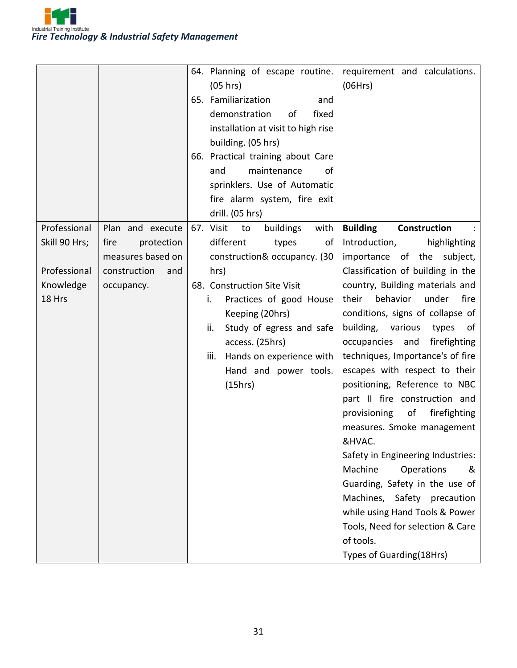

|               |                     | 64. Planning of escape routine.      | requirement and calculations.                                                                                                                                                                                                                                                                                                                                                                                                           |
|---------------|---------------------|--------------------------------------|-----------------------------------------------------------------------------------------------------------------------------------------------------------------------------------------------------------------------------------------------------------------------------------------------------------------------------------------------------------------------------------------------------------------------------------------|
|               |                     | (05 hrs)                             | (06Hrs)                                                                                                                                                                                                                                                                                                                                                                                                                                 |
|               |                     | 65. Familiarization<br>and           |                                                                                                                                                                                                                                                                                                                                                                                                                                         |
|               |                     | demonstration<br>fixed<br>of         |                                                                                                                                                                                                                                                                                                                                                                                                                                         |
|               |                     | installation at visit to high rise   |                                                                                                                                                                                                                                                                                                                                                                                                                                         |
|               |                     | building. (05 hrs)                   |                                                                                                                                                                                                                                                                                                                                                                                                                                         |
|               |                     | 66. Practical training about Care    |                                                                                                                                                                                                                                                                                                                                                                                                                                         |
|               |                     | and<br>maintenance<br>οf             |                                                                                                                                                                                                                                                                                                                                                                                                                                         |
|               |                     | sprinklers. Use of Automatic         |                                                                                                                                                                                                                                                                                                                                                                                                                                         |
|               |                     | fire alarm system, fire exit         |                                                                                                                                                                                                                                                                                                                                                                                                                                         |
|               |                     | drill. (05 hrs)                      |                                                                                                                                                                                                                                                                                                                                                                                                                                         |
| Professional  | Plan and execute    | 67. Visit<br>to<br>buildings<br>with | <b>Building</b><br><b>Construction</b>                                                                                                                                                                                                                                                                                                                                                                                                  |
| Skill 90 Hrs; | protection<br>fire  | different<br>types<br>οf             | Introduction,<br>highlighting                                                                                                                                                                                                                                                                                                                                                                                                           |
|               | measures based on   | construction& occupancy. (30         | importance of the subject,                                                                                                                                                                                                                                                                                                                                                                                                              |
| Professional  | construction<br>and | hrs)                                 | Classification of building in the                                                                                                                                                                                                                                                                                                                                                                                                       |
| Knowledge     | occupancy.          | 68. Construction Site Visit          | country, Building materials and                                                                                                                                                                                                                                                                                                                                                                                                         |
| 18 Hrs        |                     | Practices of good House<br>ı.        | behavior<br>under<br>fire<br>their                                                                                                                                                                                                                                                                                                                                                                                                      |
|               |                     | Keeping (20hrs)                      | conditions, signs of collapse of                                                                                                                                                                                                                                                                                                                                                                                                        |
|               |                     | Study of egress and safe<br>ii.      | building, various<br>types<br>of                                                                                                                                                                                                                                                                                                                                                                                                        |
|               |                     | access. (25hrs)                      | firefighting<br>occupancies<br>and                                                                                                                                                                                                                                                                                                                                                                                                      |
|               |                     | iii.<br>Hands on experience with     | techniques, Importance's of fire                                                                                                                                                                                                                                                                                                                                                                                                        |
|               |                     |                                      |                                                                                                                                                                                                                                                                                                                                                                                                                                         |
|               |                     |                                      |                                                                                                                                                                                                                                                                                                                                                                                                                                         |
|               |                     |                                      |                                                                                                                                                                                                                                                                                                                                                                                                                                         |
|               |                     |                                      |                                                                                                                                                                                                                                                                                                                                                                                                                                         |
|               |                     |                                      |                                                                                                                                                                                                                                                                                                                                                                                                                                         |
|               |                     |                                      |                                                                                                                                                                                                                                                                                                                                                                                                                                         |
|               |                     |                                      |                                                                                                                                                                                                                                                                                                                                                                                                                                         |
|               |                     |                                      |                                                                                                                                                                                                                                                                                                                                                                                                                                         |
|               |                     |                                      |                                                                                                                                                                                                                                                                                                                                                                                                                                         |
|               |                     |                                      |                                                                                                                                                                                                                                                                                                                                                                                                                                         |
|               |                     |                                      |                                                                                                                                                                                                                                                                                                                                                                                                                                         |
|               |                     |                                      |                                                                                                                                                                                                                                                                                                                                                                                                                                         |
|               |                     |                                      |                                                                                                                                                                                                                                                                                                                                                                                                                                         |
|               |                     |                                      |                                                                                                                                                                                                                                                                                                                                                                                                                                         |
|               |                     | Hand and power tools.<br>(15hrs)     | escapes with respect to their<br>positioning, Reference to NBC<br>part II fire construction and<br>$\circ$ of<br>firefighting<br>provisioning<br>measures. Smoke management<br>&HVAC<br>Safety in Engineering Industries:<br>Machine<br>Operations<br>&<br>Guarding, Safety in the use of<br>Machines, Safety precaution<br>while using Hand Tools & Power<br>Tools, Need for selection & Care<br>of tools.<br>Types of Guarding(18Hrs) |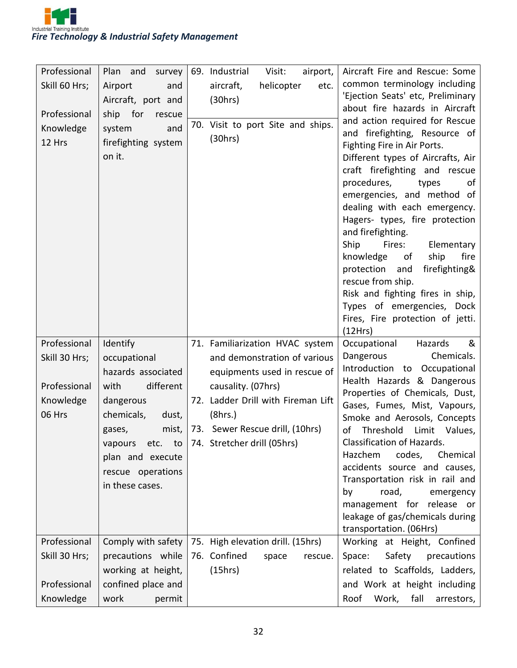

| Professional  | Plan and survey     | 69. Industrial<br>Visit:<br>airport, | Aircraft Fire and Rescue: Some                                        |
|---------------|---------------------|--------------------------------------|-----------------------------------------------------------------------|
| Skill 60 Hrs; | Airport<br>and      | aircraft,<br>helicopter<br>etc.      | common terminology including                                          |
|               | Aircraft, port and  | (30hrs)                              | 'Ejection Seats' etc, Preliminary                                     |
| Professional  | ship for<br>rescue  |                                      | about fire hazards in Aircraft                                        |
| Knowledge     | system<br>and       | 70. Visit to port Site and ships.    | and action required for Rescue                                        |
| 12 Hrs        | firefighting system | (30hrs)                              | and firefighting, Resource of<br>Fighting Fire in Air Ports.          |
|               | on it.              |                                      | Different types of Aircrafts, Air                                     |
|               |                     |                                      | craft firefighting and rescue                                         |
|               |                     |                                      | procedures,<br>types<br>of                                            |
|               |                     |                                      | emergencies, and method of                                            |
|               |                     |                                      | dealing with each emergency.                                          |
|               |                     |                                      | Hagers- types, fire protection                                        |
|               |                     |                                      | and firefighting.                                                     |
|               |                     |                                      | Ship<br>Fires:<br>Elementary                                          |
|               |                     |                                      | fire<br>ship<br>knowledge<br>οf<br>protection<br>firefighting&<br>and |
|               |                     |                                      | rescue from ship.                                                     |
|               |                     |                                      | Risk and fighting fires in ship,                                      |
|               |                     |                                      | Types of emergencies, Dock                                            |
|               |                     |                                      | Fires, Fire protection of jetti.                                      |
|               |                     |                                      | (12Hrs)                                                               |
|               |                     |                                      |                                                                       |
| Professional  | Identify            | 71. Familiarization HVAC system      | Occupational<br>&<br>Hazards                                          |
| Skill 30 Hrs; | occupational        | and demonstration of various         | Chemicals.<br>Dangerous                                               |
|               | hazards associated  | equipments used in rescue of         | Introduction to Occupational                                          |
| Professional  | different<br>with   | causality. (07hrs)                   | Health Hazards & Dangerous                                            |
| Knowledge     | dangerous           | 72. Ladder Drill with Fireman Lift   | Properties of Chemicals, Dust,                                        |
| 06 Hrs        | chemicals,<br>dust, | (8hrs.)                              | Gases, Fumes, Mist, Vapours,<br>Smoke and Aerosols, Concepts          |
|               | mist,<br>gases,     | 73. Sewer Rescue drill, (10hrs)      | Threshold<br>Limit Values,<br>of                                      |
|               | vapours etc. to     | 74. Stretcher drill (05hrs)          | Classification of Hazards.                                            |
|               | plan and execute    |                                      | Hazchem<br>codes,<br>Chemical                                         |
|               | rescue operations   |                                      | accidents source and causes,                                          |
|               | in these cases.     |                                      | Transportation risk in rail and                                       |
|               |                     |                                      | road,<br>by<br>emergency                                              |
|               |                     |                                      | management for release or                                             |
|               |                     |                                      | leakage of gas/chemicals during<br>transportation. (06Hrs)            |
| Professional  | Comply with safety  | 75. High elevation drill. (15hrs)    | Working at Height, Confined                                           |
| Skill 30 Hrs; | precautions while   | 76. Confined<br>space<br>rescue.     | Space:<br>Safety<br>precautions                                       |
|               | working at height,  | (15hrs)                              | related to Scaffolds, Ladders,                                        |
| Professional  | confined place and  |                                      | and Work at height including                                          |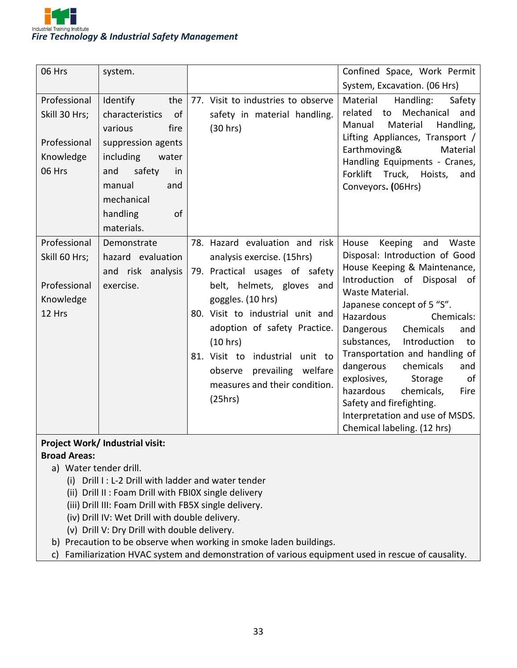

| 06 Hrs<br>Professional                                               | system.<br>the<br>Identify                                                                                                                                   | 77. Visit to industries to observe                                                                                                                                                                                                                                                                                                               | Confined Space, Work Permit<br>System, Excavation. (06 Hrs)<br>Material<br>Handling:<br>Safety                                                                                                                                                                                                                                                                                                                                                                                                                               |
|----------------------------------------------------------------------|--------------------------------------------------------------------------------------------------------------------------------------------------------------|--------------------------------------------------------------------------------------------------------------------------------------------------------------------------------------------------------------------------------------------------------------------------------------------------------------------------------------------------|------------------------------------------------------------------------------------------------------------------------------------------------------------------------------------------------------------------------------------------------------------------------------------------------------------------------------------------------------------------------------------------------------------------------------------------------------------------------------------------------------------------------------|
| Skill 30 Hrs;<br>Professional<br>Knowledge<br>06 Hrs                 | characteristics<br>of<br>various<br>fire<br>suppression agents<br>including<br>water<br>safety<br>and<br>in<br>manual<br>and<br>mechanical<br>handling<br>of | safety in material handling.<br>(30 hrs)                                                                                                                                                                                                                                                                                                         | Mechanical<br>related<br>to<br>and<br>Material<br>Handling,<br>Manual<br>Lifting Appliances, Transport /<br>Earthmoving&<br>Material<br>Handling Equipments - Cranes,<br>Forklift<br>Truck, Hoists,<br>and<br>Conveyors. (06Hrs)                                                                                                                                                                                                                                                                                             |
|                                                                      | materials.                                                                                                                                                   |                                                                                                                                                                                                                                                                                                                                                  |                                                                                                                                                                                                                                                                                                                                                                                                                                                                                                                              |
| Professional<br>Skill 60 Hrs;<br>Professional<br>Knowledge<br>12 Hrs | Demonstrate<br>hazard evaluation<br>and risk analysis<br>exercise.                                                                                           | 78. Hazard evaluation and risk<br>analysis exercise. (15hrs)<br>79. Practical usages of safety<br>belt, helmets, gloves and<br>goggles. (10 hrs)<br>80. Visit to industrial unit and<br>adoption of safety Practice.<br>(10 hrs)<br>81. Visit to industrial unit to<br>prevailing welfare<br>observe<br>measures and their condition.<br>(25hrs) | House<br>Waste<br>Keeping<br>and<br>Disposal: Introduction of Good<br>House Keeping & Maintenance,<br>Introduction of Disposal<br>of .<br>Waste Material.<br>Japanese concept of 5 "S".<br>Hazardous<br>Chemicals:<br>Dangerous<br>Chemicals<br>and<br>Introduction<br>substances,<br>to<br>Transportation and handling of<br>dangerous<br>chemicals<br>and<br>explosives,<br>Storage<br>of<br>hazardous<br>chemicals,<br>Fire<br>Safety and firefighting.<br>Interpretation and use of MSDS.<br>Chemical labeling. (12 hrs) |

#### **Project Work/ Industrial visit:**

#### **Broad Areas:**

- a) Water tender drill.
	- (i) Drill I : L-2 Drill with ladder and water tender
	- (ii) Drill II : Foam Drill with FBI0X single delivery
	- (iii) Drill III: Foam Drill with FB5X single delivery.
	- (iv) Drill IV: Wet Drill with double delivery.
	- (v) Drill V: Dry Drill with double delivery.
- b) Precaution to be observe when working in smoke laden buildings.
- c) Familiarization HVAC system and demonstration of various equipment used in rescue of causality.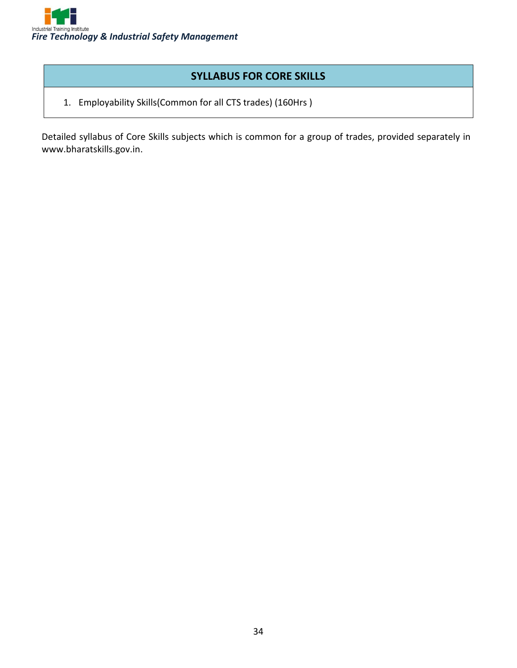

#### **SYLLABUS FOR CORE SKILLS**

1. Employability Skills(Common for all CTS trades) (160Hrs )

Detailed syllabus of Core Skills subjects which is common for a group of trades, provided separately in www.bharatskills.gov.in.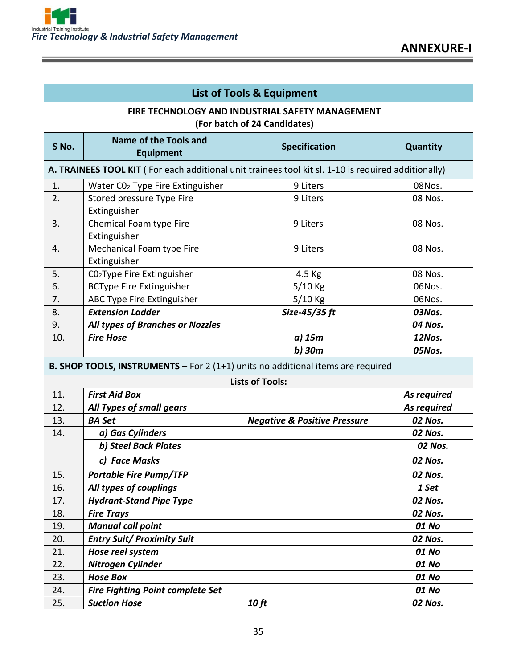| <b>List of Tools &amp; Equipment</b>                                             |                                                                                                     |                                         |             |  |
|----------------------------------------------------------------------------------|-----------------------------------------------------------------------------------------------------|-----------------------------------------|-------------|--|
| FIRE TECHNOLOGY AND INDUSTRIAL SAFETY MANAGEMENT<br>(For batch of 24 Candidates) |                                                                                                     |                                         |             |  |
| S No.                                                                            | Name of the Tools and<br><b>Equipment</b>                                                           | <b>Specification</b>                    | Quantity    |  |
|                                                                                  | A. TRAINEES TOOL KIT (For each additional unit trainees tool kit sl. 1-10 is required additionally) |                                         |             |  |
| 1.                                                                               | Water CO <sub>2</sub> Type Fire Extinguisher                                                        | 9 Liters                                | 08Nos.      |  |
| 2.                                                                               | Stored pressure Type Fire<br>Extinguisher                                                           | 9 Liters                                | 08 Nos.     |  |
| 3.                                                                               | Chemical Foam type Fire<br>Extinguisher                                                             | 9 Liters                                | 08 Nos.     |  |
| 4.                                                                               | Mechanical Foam type Fire<br>Extinguisher                                                           | 9 Liters                                | 08 Nos.     |  |
| 5.                                                                               | CO <sub>2</sub> Type Fire Extinguisher                                                              | 4.5 Kg                                  | 08 Nos.     |  |
| 6.                                                                               | <b>BCType Fire Extinguisher</b>                                                                     | 5/10 Kg                                 | 06Nos.      |  |
| 7.                                                                               | ABC Type Fire Extinguisher                                                                          | 5/10 Kg                                 | 06Nos.      |  |
| 8.                                                                               | <b>Extension Ladder</b>                                                                             | Size-45/35 ft                           | 03Nos.      |  |
| 9.                                                                               | All types of Branches or Nozzles                                                                    |                                         | 04 Nos.     |  |
| 10.                                                                              | <b>Fire Hose</b>                                                                                    | a) 15m                                  | 12Nos.      |  |
|                                                                                  |                                                                                                     | $b)$ 30 $m$                             | 05Nos.      |  |
|                                                                                  | B. SHOP TOOLS, INSTRUMENTS - For 2 (1+1) units no additional items are required                     |                                         |             |  |
|                                                                                  |                                                                                                     | <b>Lists of Tools:</b>                  |             |  |
| 11.                                                                              | <b>First Aid Box</b>                                                                                |                                         | As required |  |
| 12.                                                                              | All Types of small gears                                                                            |                                         | As required |  |
| 13.                                                                              | <b>BA Set</b>                                                                                       | <b>Negative &amp; Positive Pressure</b> | 02 Nos.     |  |
| 14.                                                                              | a) Gas Cylinders                                                                                    |                                         | 02 Nos.     |  |
|                                                                                  | b) Steel Back Plates                                                                                |                                         | 02 Nos.     |  |
|                                                                                  | c) Face Masks                                                                                       |                                         | 02 Nos.     |  |
| 15.                                                                              | <b>Portable Fire Pump/TFP</b>                                                                       |                                         | 02 Nos.     |  |
| 16.                                                                              | All types of couplings                                                                              |                                         | 1 Set       |  |
| 17.                                                                              | <b>Hydrant-Stand Pipe Type</b>                                                                      |                                         | 02 Nos.     |  |
| 18.                                                                              | <b>Fire Trays</b>                                                                                   |                                         | 02 Nos.     |  |
| 19.                                                                              | <b>Manual call point</b>                                                                            |                                         | 01 No       |  |
| 20.                                                                              | <b>Entry Suit/ Proximity Suit</b>                                                                   |                                         | 02 Nos.     |  |
| 21.                                                                              | Hose reel system                                                                                    |                                         | 01 No       |  |
| 22.                                                                              | Nitrogen Cylinder                                                                                   |                                         | 01 No       |  |
| 23.                                                                              | <b>Hose Box</b>                                                                                     |                                         | 01 No       |  |
| 24.                                                                              | <b>Fire Fighting Point complete Set</b>                                                             |                                         | 01 No       |  |
| 25.                                                                              | <b>Suction Hose</b>                                                                                 | 10 ft                                   | 02 Nos.     |  |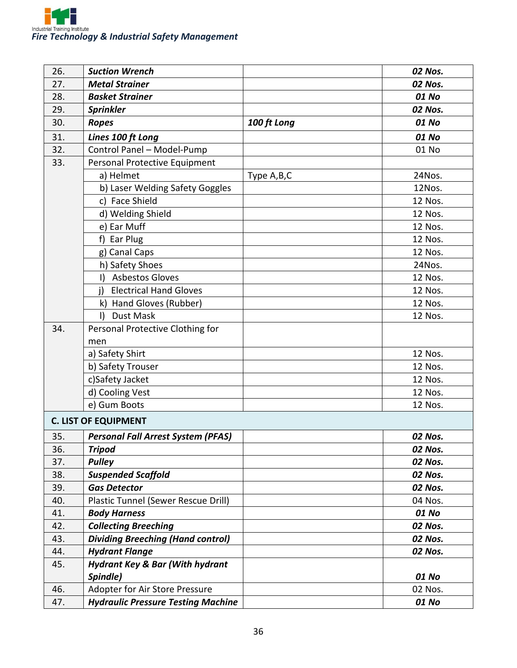

| 26. | <b>Suction Wrench</b>                      |             | 02 Nos. |
|-----|--------------------------------------------|-------------|---------|
| 27. | <b>Metal Strainer</b>                      |             | 02 Nos. |
| 28. | <b>Basket Strainer</b>                     |             | 01 No   |
| 29. | <b>Sprinkler</b>                           |             | 02 Nos. |
| 30. | <b>Ropes</b>                               | 100 ft Long | 01 No   |
| 31. | Lines 100 ft Long                          |             | 01 No   |
| 32. | Control Panel - Model-Pump                 |             | 01 No   |
| 33. | Personal Protective Equipment              |             |         |
|     | a) Helmet                                  | Type A,B,C  | 24Nos.  |
|     | b) Laser Welding Safety Goggles            |             | 12Nos.  |
|     | c) Face Shield                             |             | 12 Nos. |
|     | d) Welding Shield                          |             | 12 Nos. |
|     | e) Ear Muff                                |             | 12 Nos. |
|     | f) Ear Plug                                |             | 12 Nos. |
|     | g) Canal Caps                              |             | 12 Nos. |
|     | h) Safety Shoes                            |             | 24Nos.  |
|     | <b>Asbestos Gloves</b><br>Ð                |             | 12 Nos. |
|     | <b>Electrical Hand Gloves</b><br>i)        |             | 12 Nos. |
|     | Hand Gloves (Rubber)<br>k)                 |             | 12 Nos. |
|     | <b>Dust Mask</b><br>$\vert$                |             | 12 Nos. |
| 34. | Personal Protective Clothing for           |             |         |
|     | men                                        |             |         |
|     | a) Safety Shirt                            |             | 12 Nos. |
|     | b) Safety Trouser                          |             | 12 Nos. |
|     | c)Safety Jacket                            |             | 12 Nos. |
|     | d) Cooling Vest                            |             | 12 Nos. |
|     | e) Gum Boots                               |             | 12 Nos. |
|     | <b>C. LIST OF EQUIPMENT</b>                |             |         |
| 35. | <b>Personal Fall Arrest System (PFAS)</b>  |             | 02 Nos. |
| 36. | <b>Tripod</b>                              |             | 02 Nos. |
| 37. | <b>Pulley</b>                              |             | 02 Nos. |
| 38. | <b>Suspended Scaffold</b>                  |             | 02 Nos. |
| 39. | <b>Gas Detector</b>                        |             | 02 Nos. |
| 40. | Plastic Tunnel (Sewer Rescue Drill)        |             | 04 Nos. |
| 41. | <b>Body Harness</b>                        |             | 01 No   |
| 42. | <b>Collecting Breeching</b>                |             | 02 Nos. |
| 43. | <b>Dividing Breeching (Hand control)</b>   |             | 02 Nos. |
| 44. | <b>Hydrant Flange</b>                      |             | 02 Nos. |
| 45. | <b>Hydrant Key &amp; Bar (With hydrant</b> |             |         |
|     | Spindle)                                   |             | 01 No   |
| 46. | Adopter for Air Store Pressure             |             | 02 Nos. |
| 47. | <b>Hydraulic Pressure Testing Machine</b>  |             | 01 No   |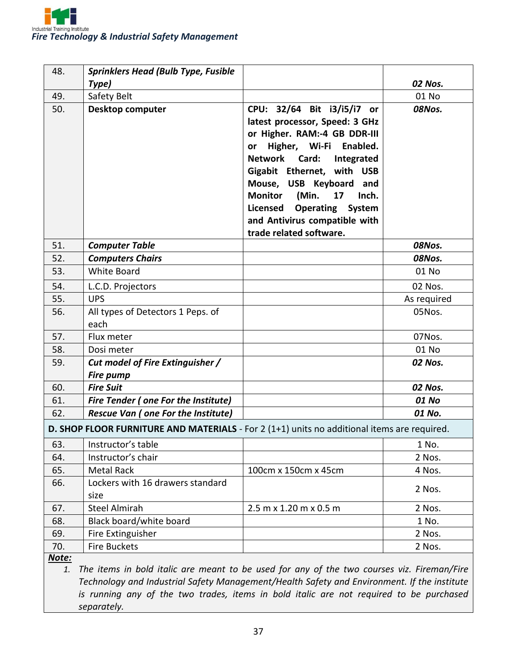| 48.          | <b>Sprinklers Head (Bulb Type, Fusible</b>                                                  |                                                                                                                                                                                                                                                                                                                                                                             |             |
|--------------|---------------------------------------------------------------------------------------------|-----------------------------------------------------------------------------------------------------------------------------------------------------------------------------------------------------------------------------------------------------------------------------------------------------------------------------------------------------------------------------|-------------|
|              | Type)                                                                                       |                                                                                                                                                                                                                                                                                                                                                                             | 02 Nos.     |
| 49.          | Safety Belt                                                                                 |                                                                                                                                                                                                                                                                                                                                                                             | 01 No       |
| 50.          | <b>Desktop computer</b>                                                                     | CPU: 32/64 Bit i3/i5/i7 or<br>latest processor, Speed: 3 GHz<br>or Higher. RAM:-4 GB DDR-III<br>Higher, Wi-Fi Enabled.<br>or<br><b>Network</b><br>Card:<br>Integrated<br>Gigabit Ethernet, with USB<br>Mouse, USB Keyboard and<br><b>Monitor</b><br>(Min.<br>17<br>Inch.<br><b>Licensed Operating</b><br>System<br>and Antivirus compatible with<br>trade related software. | 08Nos.      |
| 51.          | <b>Computer Table</b>                                                                       |                                                                                                                                                                                                                                                                                                                                                                             | 08Nos.      |
| 52.          | <b>Computers Chairs</b>                                                                     |                                                                                                                                                                                                                                                                                                                                                                             | 08Nos.      |
| 53.          | <b>White Board</b>                                                                          |                                                                                                                                                                                                                                                                                                                                                                             | 01 No       |
| 54.          | L.C.D. Projectors                                                                           |                                                                                                                                                                                                                                                                                                                                                                             | 02 Nos.     |
| 55.          | <b>UPS</b>                                                                                  |                                                                                                                                                                                                                                                                                                                                                                             | As required |
| 56.          | All types of Detectors 1 Peps. of                                                           |                                                                                                                                                                                                                                                                                                                                                                             | 05Nos.      |
|              | each                                                                                        |                                                                                                                                                                                                                                                                                                                                                                             |             |
| 57.          | Flux meter                                                                                  |                                                                                                                                                                                                                                                                                                                                                                             | 07Nos.      |
| 58.          | Dosi meter                                                                                  |                                                                                                                                                                                                                                                                                                                                                                             | 01 No       |
| 59.          | Cut model of Fire Extinguisher /<br><b>Fire pump</b>                                        |                                                                                                                                                                                                                                                                                                                                                                             | 02 Nos.     |
| 60.          | <b>Fire Suit</b>                                                                            |                                                                                                                                                                                                                                                                                                                                                                             | 02 Nos.     |
| 61.          | <b>Fire Tender (one For the Institute)</b>                                                  |                                                                                                                                                                                                                                                                                                                                                                             | 01 No       |
| 62.          | <b>Rescue Van ( one For the Institute)</b>                                                  |                                                                                                                                                                                                                                                                                                                                                                             | 01 No.      |
|              | D. SHOP FLOOR FURNITURE AND MATERIALS - For 2 (1+1) units no additional items are required. |                                                                                                                                                                                                                                                                                                                                                                             |             |
| 63.          | Instructor's table                                                                          |                                                                                                                                                                                                                                                                                                                                                                             | 1 No.       |
| 64.          | Instructor's chair                                                                          |                                                                                                                                                                                                                                                                                                                                                                             | 2 Nos.      |
| 65.          | Metal Rack                                                                                  | 100cm x 150cm x 45cm                                                                                                                                                                                                                                                                                                                                                        | 4 Nos.      |
| 66.          | Lockers with 16 drawers standard                                                            |                                                                                                                                                                                                                                                                                                                                                                             |             |
|              | size                                                                                        |                                                                                                                                                                                                                                                                                                                                                                             | 2 Nos.      |
| 67.          | <b>Steel Almirah</b>                                                                        | 2.5 m x 1.20 m x 0.5 m                                                                                                                                                                                                                                                                                                                                                      | 2 Nos.      |
| 68.          | Black board/white board                                                                     |                                                                                                                                                                                                                                                                                                                                                                             | 1 No.       |
| 69.          | Fire Extinguisher                                                                           |                                                                                                                                                                                                                                                                                                                                                                             | 2 Nos.      |
| 70.          | <b>Fire Buckets</b>                                                                         |                                                                                                                                                                                                                                                                                                                                                                             | 2 Nos.      |
| <u>Note:</u> |                                                                                             |                                                                                                                                                                                                                                                                                                                                                                             |             |

*1. The items in bold italic are meant to be used for any of the two courses viz. Fireman/Fire Technology and Industrial Safety Management/Health Safety and Environment. If the institute is running any of the two trades, items in bold italic are not required to be purchased separately.*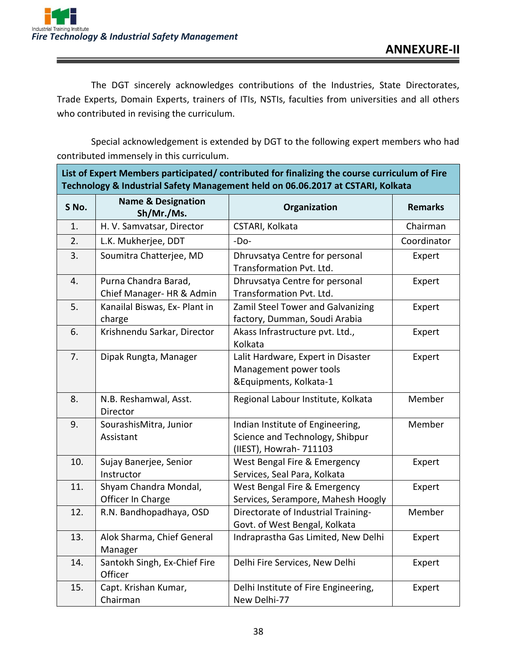The DGT sincerely acknowledges contributions of the Industries, State Directorates, Trade Experts, Domain Experts, trainers of ITIs, NSTIs, faculties from universities and all others who contributed in revising the curriculum.

Special acknowledgement is extended by DGT to the following expert members who had contributed immensely in this curriculum.

| List of Expert Members participated/ contributed for finalizing the course curriculum of Fire<br>Technology & Industrial Safety Management held on 06.06.2017 at CSTARI, Kolkata |                                                   |                                                                                                |                |
|----------------------------------------------------------------------------------------------------------------------------------------------------------------------------------|---------------------------------------------------|------------------------------------------------------------------------------------------------|----------------|
| S No.                                                                                                                                                                            | <b>Name &amp; Designation</b><br>Sh/Mr./Ms.       | Organization                                                                                   | <b>Remarks</b> |
| 1.                                                                                                                                                                               | H. V. Samvatsar, Director                         | CSTARI, Kolkata                                                                                | Chairman       |
| 2.                                                                                                                                                                               | L.K. Mukherjee, DDT                               | $-DO-$                                                                                         | Coordinator    |
| 3.                                                                                                                                                                               | Soumitra Chatterjee, MD                           | Dhruvsatya Centre for personal<br>Transformation Pvt. Ltd.                                     | Expert         |
| 4.                                                                                                                                                                               | Purna Chandra Barad,<br>Chief Manager- HR & Admin | Dhruvsatya Centre for personal<br>Transformation Pvt. Ltd.                                     | Expert         |
| 5.                                                                                                                                                                               | Kanailal Biswas, Ex- Plant in<br>charge           | Zamil Steel Tower and Galvanizing<br>factory, Dumman, Soudi Arabia                             | Expert         |
| 6.                                                                                                                                                                               | Krishnendu Sarkar, Director                       | Akass Infrastructure pvt. Ltd.,<br>Kolkata                                                     | Expert         |
| 7.                                                                                                                                                                               | Dipak Rungta, Manager                             | Lalit Hardware, Expert in Disaster<br>Management power tools<br>&Equipments, Kolkata-1         | Expert         |
| 8.                                                                                                                                                                               | N.B. Reshamwal, Asst.<br>Director                 | Regional Labour Institute, Kolkata                                                             | Member         |
| 9.                                                                                                                                                                               | SourashisMitra, Junior<br>Assistant               | Indian Institute of Engineering,<br>Science and Technology, Shibpur<br>(IIEST), Howrah- 711103 | Member         |
| 10.                                                                                                                                                                              | Sujay Banerjee, Senior<br>Instructor              | West Bengal Fire & Emergency<br>Services, Seal Para, Kolkata                                   | Expert         |
| 11.                                                                                                                                                                              | Shyam Chandra Mondal,<br>Officer In Charge        | West Bengal Fire & Emergency<br>Services, Serampore, Mahesh Hoogly                             | Expert         |
| 12.                                                                                                                                                                              | R.N. Bandhopadhaya, OSD                           | Directorate of Industrial Training-<br>Govt. of West Bengal, Kolkata                           | Member         |
| 13.                                                                                                                                                                              | Alok Sharma, Chief General<br>Manager             | Indraprastha Gas Limited, New Delhi                                                            | Expert         |
| 14.                                                                                                                                                                              | Santokh Singh, Ex-Chief Fire<br>Officer           | Delhi Fire Services, New Delhi                                                                 | Expert         |
| 15.                                                                                                                                                                              | Capt. Krishan Kumar,<br>Chairman                  | Delhi Institute of Fire Engineering,<br>New Delhi-77                                           | Expert         |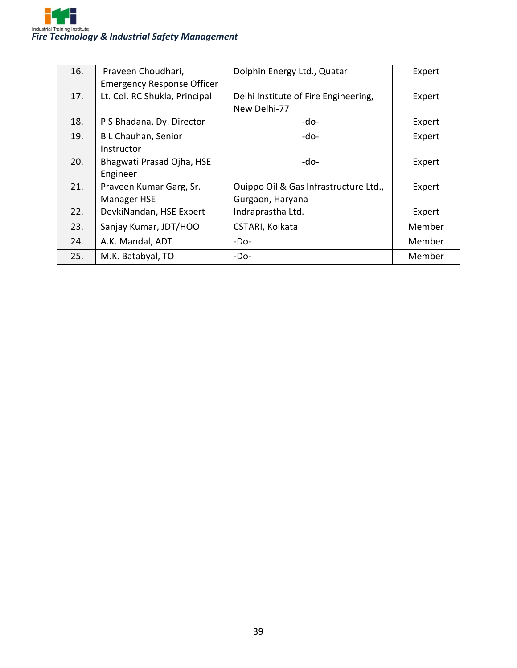

| 16. | Praveen Choudhari,<br><b>Emergency Response Officer</b> | Dolphin Energy Ltd., Quatar                               | Expert |
|-----|---------------------------------------------------------|-----------------------------------------------------------|--------|
| 17. | Lt. Col. RC Shukla, Principal                           | Delhi Institute of Fire Engineering,<br>New Delhi-77      | Expert |
| 18. | P S Bhadana, Dy. Director                               | -do-                                                      | Expert |
| 19. | <b>BL Chauhan, Senior</b><br>Instructor                 | -do-                                                      | Expert |
| 20. | Bhagwati Prasad Ojha, HSE<br>Engineer                   | -do-                                                      | Expert |
| 21. | Praveen Kumar Garg, Sr.<br>Manager HSE                  | Ouippo Oil & Gas Infrastructure Ltd.,<br>Gurgaon, Haryana | Expert |
| 22. | DevkiNandan, HSE Expert                                 | Indraprastha Ltd.                                         | Expert |
| 23. | Sanjay Kumar, JDT/HOO                                   | CSTARI, Kolkata                                           | Member |
| 24. | A.K. Mandal, ADT                                        | $-DO-$                                                    | Member |
| 25. | M.K. Batabyal, TO                                       | $-DO-$                                                    | Member |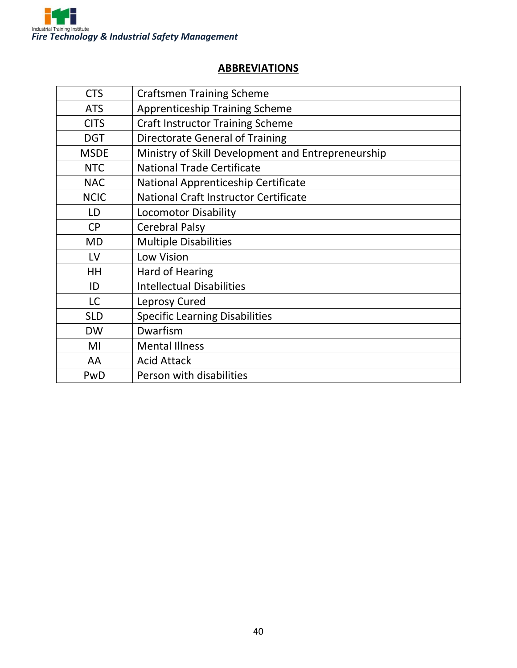

#### **ABBREVIATIONS**

| <b>CTS</b>  | <b>Craftsmen Training Scheme</b>                   |
|-------------|----------------------------------------------------|
| <b>ATS</b>  | <b>Apprenticeship Training Scheme</b>              |
| <b>CITS</b> | <b>Craft Instructor Training Scheme</b>            |
| <b>DGT</b>  | <b>Directorate General of Training</b>             |
| <b>MSDE</b> | Ministry of Skill Development and Entrepreneurship |
| <b>NTC</b>  | <b>National Trade Certificate</b>                  |
| <b>NAC</b>  | National Apprenticeship Certificate                |
| <b>NCIC</b> | National Craft Instructor Certificate              |
| LD          | <b>Locomotor Disability</b>                        |
| <b>CP</b>   | <b>Cerebral Palsy</b>                              |
| <b>MD</b>   | <b>Multiple Disabilities</b>                       |
| LV          | <b>Low Vision</b>                                  |
| HH          | Hard of Hearing                                    |
| ID          | <b>Intellectual Disabilities</b>                   |
| <b>LC</b>   | Leprosy Cured                                      |
| <b>SLD</b>  | <b>Specific Learning Disabilities</b>              |
| <b>DW</b>   | Dwarfism                                           |
| MI          | <b>Mental Illness</b>                              |
| AA          | <b>Acid Attack</b>                                 |
| PwD         | Person with disabilities                           |